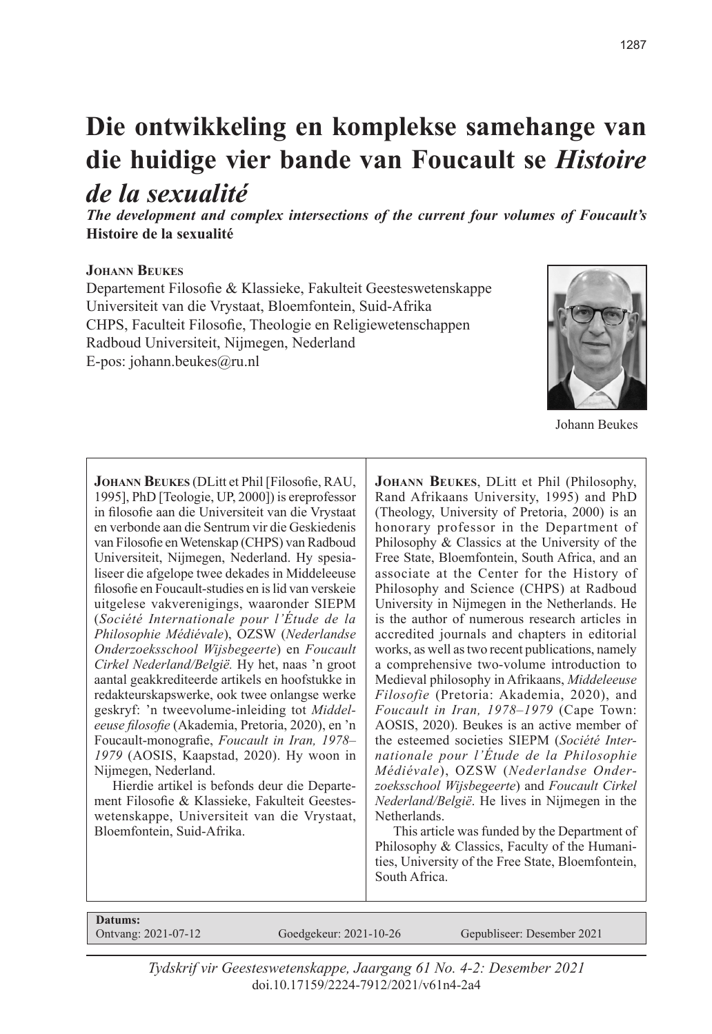# **Die ontwikkeling en komplekse samehange van die huidige vier bande van Foucault se** *Histoire de la sexualité*

*The development and complex intersections of the current four volumes of Foucault's*  **Histoire de la sexualité**

#### **Johann Beukes**

Departement Filosofie & Klassieke, Fakulteit Geesteswetenskappe Universiteit van die Vrystaat, Bloemfontein, Suid-Afrika CHPS, Faculteit Filosofie, Theologie en Religiewetenschappen Radboud Universiteit, Nijmegen, Nederland E-pos: johann.beukes@ru.nl



Johann Beukes

**Johann Beukes** (DLitt et Phil [Filosofie, RAU, 1995], PhD [Teologie, UP, 2000]) is ereprofessor in filosofie aan die Universiteit van die Vrystaat en verbonde aan die Sentrum vir die Geskiedenis van Filosofie en Wetenskap (CHPS) van Radboud Universiteit, Nijmegen, Nederland. Hy spesialiseer die afgelope twee dekades in Middeleeuse filosofie en Foucault-studies en is lid van verskeie uitgelese vakverenigings, waaronder SIEPM (*Société Internationale pour l'Étude de la Philosophie Médiévale*), OZSW (*Nederlandse Onderzoeksschool Wijsbegeerte*) en *Foucault Cirkel Nederland/België.* Hy het, naas 'n groot aantal geakkrediteerde artikels en hoofstukke in redakteurskapswerke, ook twee onlangse werke geskryf: 'n tweevolume-inleiding tot *Middeleeuse filosofie* (Akademia, Pretoria, 2020), en 'n Foucault-monografie, *Foucault in Iran, 1978– 1979* (AOSIS, Kaapstad, 2020). Hy woon in Nijmegen, Nederland.

Hierdie artikel is befonds deur die Departement Filosofie & Klassieke, Fakulteit Geesteswetenskappe, Universiteit van die Vrystaat, Bloemfontein, Suid-Afrika.

**Johann Beukes**, DLitt et Phil (Philosophy, Rand Afrikaans University, 1995) and PhD (Theology, University of Pretoria, 2000) is an honorary professor in the Department of Philosophy & Classics at the University of the Free State, Bloemfontein, South Africa, and an associate at the Center for the History of Philosophy and Science (CHPS) at Radboud University in Nijmegen in the Netherlands. He is the author of numerous research articles in accredited journals and chapters in editorial works, as well as two recent publications, namely a comprehensive two-volume introduction to Medieval philosophy in Afrikaans, *Middeleeuse Filosofie* (Pretoria: Akademia, 2020), and *Foucault in Iran, 1978–1979* (Cape Town: AOSIS, 2020). Beukes is an active member of the esteemed societies SIEPM (*Société Internationale pour l'Étude de la Philosophie Médiévale*), OZSW (*Nederlandse Onderzoeksschool Wijsbegeerte*) and *Foucault Cirkel Nederland/België*. He lives in Nijmegen in the Netherlands.

This article was funded by the Department of Philosophy & Classics, Faculty of the Humanities, University of the Free State, Bloemfontein, South Africa.

**Datums:**<br>Ontvang: 2021-07-12

Goedgekeur: 2021-10-26 Gepubliseer: Desember 2021

*Tydskrif vir Geesteswetenskappe, Jaargang 61 No. 4-2: Desember 2021* doi.10.17159/2224-7912/2021/v61n4-2a4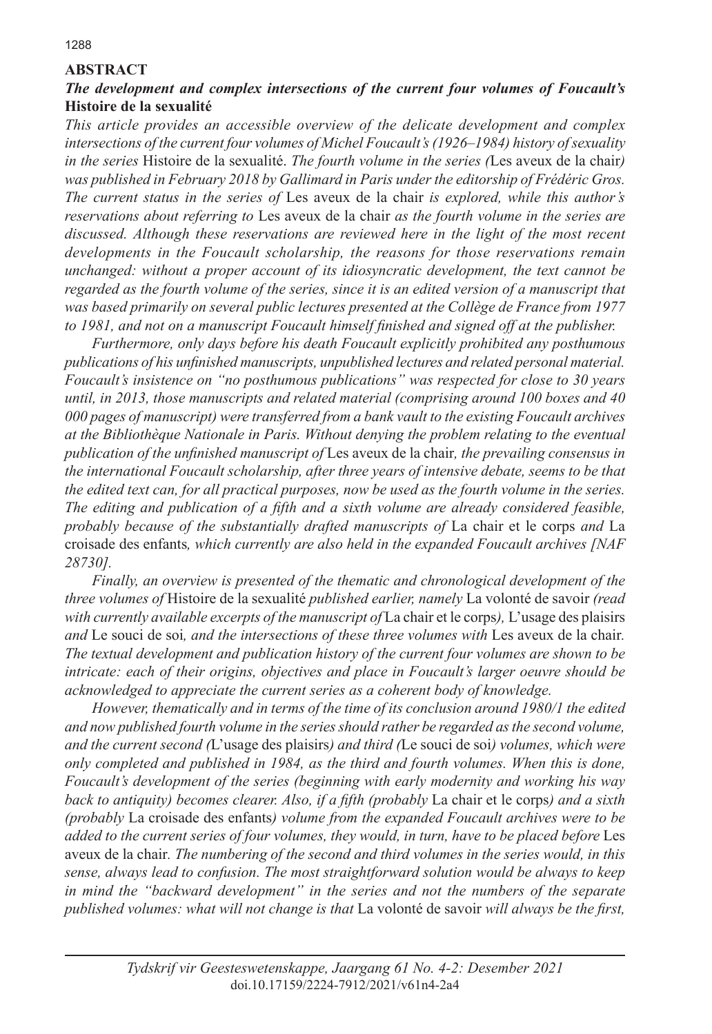## **ABSTRACT**

#### *The development and complex intersections of the current four volumes of Foucault's*  **Histoire de la sexualité**

*This article provides an accessible overview of the delicate development and complex intersections of the current four volumes of Michel Foucault's (1926–1984) history of sexuality in the series* Histoire de la sexualité. *The fourth volume in the series (*Les aveux de la chair*) was published in February 2018 by Gallimard in Paris under the editorship of Frédéric Gros. The current status in the series of* Les aveux de la chair *is explored, while this author's reservations about referring to* Les aveux de la chair *as the fourth volume in the series are discussed. Although these reservations are reviewed here in the light of the most recent developments in the Foucault scholarship, the reasons for those reservations remain unchanged: without a proper account of its idiosyncratic development, the text cannot be regarded as the fourth volume of the series, since it is an edited version of a manuscript that was based primarily on several public lectures presented at the Collège de France from 1977*  to 1981, and not on a manuscript Foucault himself finished and signed off at the publisher.

*Furthermore, only days before his death Foucault explicitly prohibited any posthumous publications of his unfinished manuscripts, unpublished lectures and related personal material. Foucault's insistence on "no posthumous publications" was respected for close to 30 years until, in 2013, those manuscripts and related material (comprising around 100 boxes and 40 000 pages of manuscript) were transferred from a bank vault to the existing Foucault archives at the Bibliothèque Nationale in Paris. Without denying the problem relating to the eventual publication of the unfinished manuscript of* Les aveux de la chair*, the prevailing consensus in the international Foucault scholarship, after three years of intensive debate, seems to be that the edited text can, for all practical purposes, now be used as the fourth volume in the series. The editing and publication of a fifth and a sixth volume are already considered feasible, probably because of the substantially drafted manuscripts of* La chair et le corps *and* La croisade des enfants*, which currently are also held in the expanded Foucault archives [NAF 28730].* 

*Finally, an overview is presented of the thematic and chronological development of the three volumes of* Histoire de la sexualité *published earlier, namely* La volonté de savoir *(read with currently available excerpts of the manuscript of* La chair et le corps*),* L'usage des plaisirs *and* Le souci de soi*, and the intersections of these three volumes with* Les aveux de la chair*. The textual development and publication history of the current four volumes are shown to be intricate: each of their origins, objectives and place in Foucault's larger oeuvre should be acknowledged to appreciate the current series as a coherent body of knowledge.* 

*However, thematically and in terms of the time of its conclusion around 1980/1 the edited and now published fourth volume in the series should rather be regarded as the second volume, and the current second (*L'usage des plaisirs*) and third (*Le souci de soi*) volumes, which were only completed and published in 1984, as the third and fourth volumes. When this is done, Foucault's development of the series (beginning with early modernity and working his way back to antiquity) becomes clearer. Also, if a fifth (probably* La chair et le corps*) and a sixth (probably* La croisade des enfants*) volume from the expanded Foucault archives were to be added to the current series of four volumes, they would, in turn, have to be placed before* Les aveux de la chair*. The numbering of the second and third volumes in the series would, in this sense, always lead to confusion. The most straightforward solution would be always to keep in mind the "backward development" in the series and not the numbers of the separate published volumes: what will not change is that* La volonté de savoir *will always be the first,*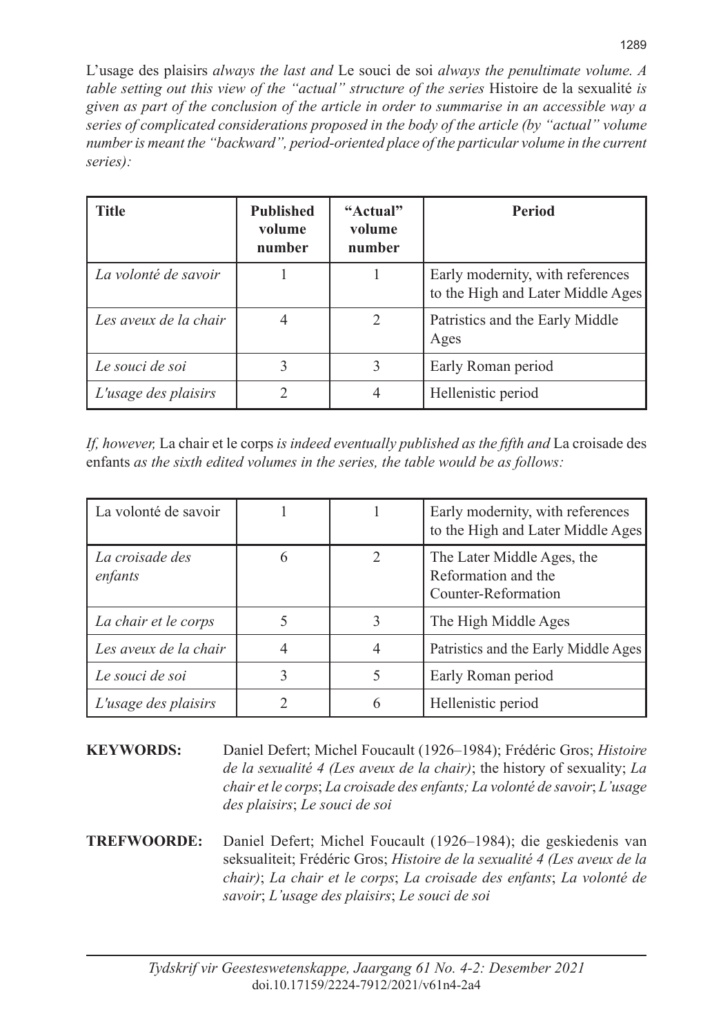L'usage des plaisirs *always the last and* Le souci de soi *always the penultimate volume. A table setting out this view of the "actual" structure of the series Histoire de la sexualité is given as part of the conclusion of the article in order to summarise in an accessible way a series of complicated considerations proposed in the body of the article (by "actual" volume number is meant the "backward", period-oriented place of the particular volume in the current series):*

| <b>Title</b>          | <b>Published</b><br>volume<br>number | "Actual"<br>volume<br>number | <b>Period</b>                                                         |
|-----------------------|--------------------------------------|------------------------------|-----------------------------------------------------------------------|
| La volonté de savoir  |                                      |                              | Early modernity, with references<br>to the High and Later Middle Ages |
| Les aveux de la chair | 4                                    | $\mathfrak{D}$               | Patristics and the Early Middle<br>Ages                               |
| Le souci de soi       | 3                                    | 3                            | Early Roman period                                                    |
| L'usage des plaisirs  | 2                                    | 4                            | Hellenistic period                                                    |

*If, however,* La chair et le corps *is indeed eventually published as the fifth and* La croisade des enfants *as the sixth edited volumes in the series, the table would be as follows:*

| La volonté de savoir       |   |              | Early modernity, with references<br>to the High and Later Middle Ages    |
|----------------------------|---|--------------|--------------------------------------------------------------------------|
| La croisade des<br>enfants | 6 |              | The Later Middle Ages, the<br>Reformation and the<br>Counter-Reformation |
| La chair et le corps       |   | $\mathbf{R}$ | The High Middle Ages                                                     |
| Les aveux de la chair      | 4 |              | Patristics and the Early Middle Ages                                     |
| Le souci de soi            | 3 |              | Early Roman period                                                       |
| L'usage des plaisirs       |   | 6            | Hellenistic period                                                       |

**KEYWORDS:** Daniel Defert; Michel Foucault (1926–1984); Frédéric Gros; *Histoire de la sexualité 4 (Les aveux de la chair)*; the history of sexuality; *La chair et le corps*; *La croisade des enfants; La volonté de savoir*; *L'usage des plaisirs*; *Le souci de soi*

**TREFWOORDE:** Daniel Defert; Michel Foucault (1926–1984); die geskiedenis van seksualiteit; Frédéric Gros; *Histoire de la sexualité 4 (Les aveux de la chair)*; *La chair et le corps*; *La croisade des enfants*; *La volonté de savoir*; *L'usage des plaisirs*; *Le souci de soi*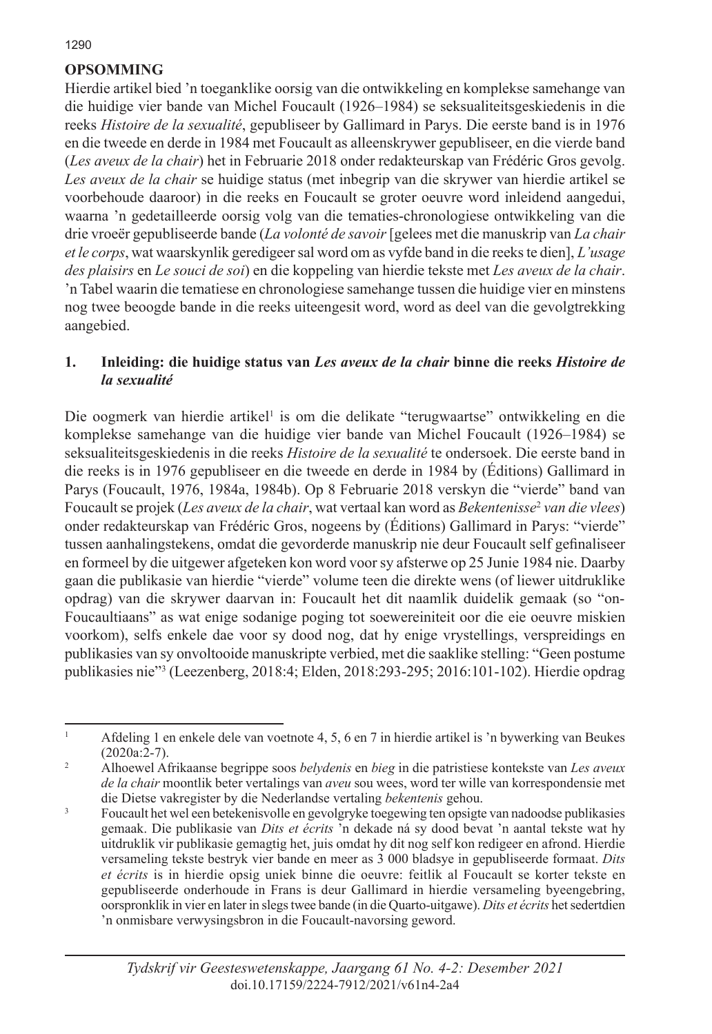# **OPSOMMING**

Hierdie artikel bied 'n toeganklike oorsig van die ontwikkeling en komplekse samehange van die huidige vier bande van Michel Foucault (1926–1984) se seksualiteitsgeskiedenis in die reeks *Histoire de la sexualité*, gepubliseer by Gallimard in Parys. Die eerste band is in 1976 en die tweede en derde in 1984 met Foucault as alleenskrywer gepubliseer, en die vierde band (*Les aveux de la chair*) het in Februarie 2018 onder redakteurskap van Frédéric Gros gevolg. *Les aveux de la chair* se huidige status (met inbegrip van die skrywer van hierdie artikel se voorbehoude daaroor) in die reeks en Foucault se groter oeuvre word inleidend aangedui, waarna 'n gedetailleerde oorsig volg van die tematies-chronologiese ontwikkeling van die drie vroeër gepubliseerde bande (*La volonté de savoir* [gelees met die manuskrip van *La chair et le corps*, wat waarskynlik geredigeer sal word om as vyfde band in die reeks te dien], *L'usage des plaisirs* en *Le souci de soi*) en die koppeling van hierdie tekste met *Les aveux de la chair*. 'n Tabel waarin die tematiese en chronologiese samehange tussen die huidige vier en minstens nog twee beoogde bande in die reeks uiteengesit word, word as deel van die gevolgtrekking aangebied.

#### **1. Inleiding: die huidige status van** *Les aveux de la chair* **binne die reeks** *Histoire de la sexualité*

Die oogmerk van hierdie artikel<sup>1</sup> is om die delikate "terugwaartse" ontwikkeling en die komplekse samehange van die huidige vier bande van Michel Foucault (1926–1984) se seksualiteitsgeskiedenis in die reeks *Histoire de la sexualité* te ondersoek. Die eerste band in die reeks is in 1976 gepubliseer en die tweede en derde in 1984 by (Éditions) Gallimard in Parys (Foucault, 1976, 1984a, 1984b). Op 8 Februarie 2018 verskyn die "vierde" band van Foucault se projek (*Les aveux de la chair*, wat vertaal kan word as *Bekentenisse*<sup>2</sup> *van die vlees*) onder redakteurskap van Frédéric Gros, nogeens by (Éditions) Gallimard in Parys: "vierde" tussen aanhalingstekens, omdat die gevorderde manuskrip nie deur Foucault self gefinaliseer en formeel by die uitgewer afgeteken kon word voor sy afsterwe op 25 Junie 1984 nie. Daarby gaan die publikasie van hierdie "vierde" volume teen die direkte wens (of liewer uitdruklike opdrag) van die skrywer daarvan in: Foucault het dit naamlik duidelik gemaak (so "on-Foucaultiaans" as wat enige sodanige poging tot soewereiniteit oor die eie oeuvre miskien voorkom), selfs enkele dae voor sy dood nog, dat hy enige vrystellings, verspreidings en publikasies van sy onvoltooide manuskripte verbied, met die saaklike stelling: "Geen postume publikasies nie"<sup>3</sup> (Leezenberg, 2018:4; Elden, 2018:293-295; 2016:101-102). Hierdie opdrag

<sup>1</sup> Afdeling 1 en enkele dele van voetnote 4, 5, 6 en 7 in hierdie artikel is 'n bywerking van Beukes (2020a:2-7).

<sup>2</sup> Alhoewel Afrikaanse begrippe soos *belydenis* en *bieg* in die patristiese kontekste van *Les aveux de la chair* moontlik beter vertalings van *aveu* sou wees, word ter wille van korrespondensie met die Dietse vakregister by die Nederlandse vertaling *bekentenis* gehou.

<sup>&</sup>lt;sup>3</sup> Foucault het wel een betekenisvolle en gevolgryke toegewing ten opsigte van nadoodse publikasies gemaak. Die publikasie van *Dits et écrits* 'n dekade ná sy dood bevat 'n aantal tekste wat hy uitdruklik vir publikasie gemagtig het, juis omdat hy dit nog self kon redigeer en afrond. Hierdie versameling tekste bestryk vier bande en meer as 3 000 bladsye in gepubliseerde formaat. *Dits et écrits* is in hierdie opsig uniek binne die oeuvre: feitlik al Foucault se korter tekste en gepubliseerde onderhoude in Frans is deur Gallimard in hierdie versameling byeengebring, oorspronklik in vier en later in slegs twee bande (in die Quarto-uitgawe). *Dits et écrits* het sedertdien 'n onmisbare verwysingsbron in die Foucault-navorsing geword.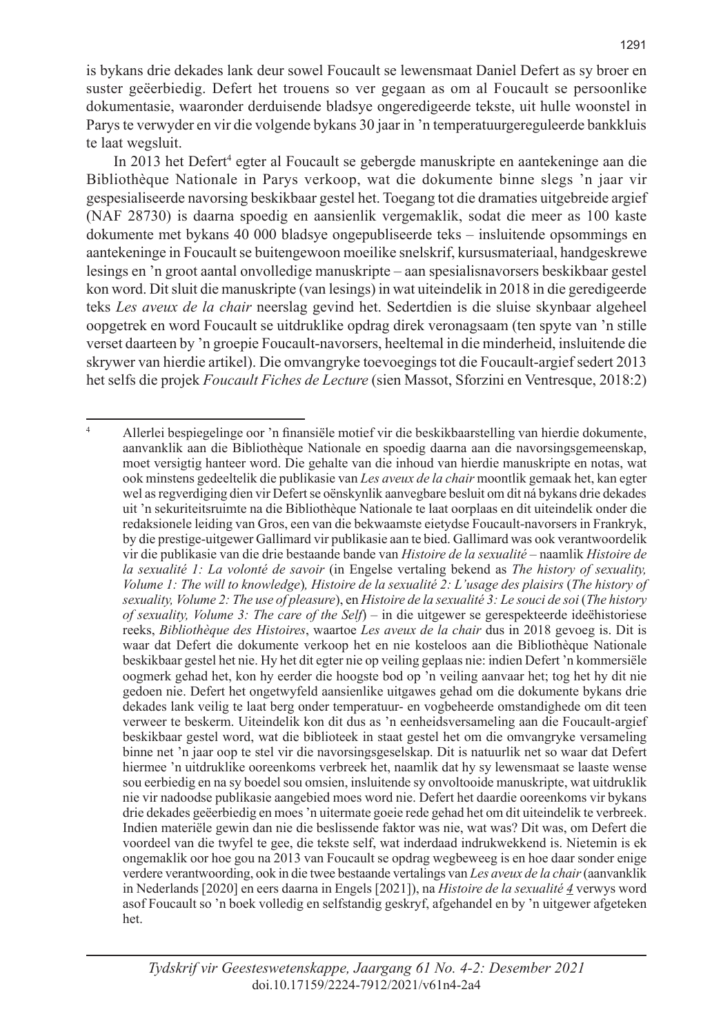is bykans drie dekades lank deur sowel Foucault se lewensmaat Daniel Defert as sy broer en suster geëerbiedig. Defert het trouens so ver gegaan as om al Foucault se persoonlike dokumentasie, waaronder derduisende bladsye ongeredigeerde tekste, uit hulle woonstel in Parys te verwyder en vir die volgende bykans 30 jaar in 'n temperatuurgereguleerde bankkluis te laat wegsluit.

In 2013 het Defert<sup>4</sup> egter al Foucault se gebergde manuskripte en aantekeninge aan die Bibliothèque Nationale in Parys verkoop, wat die dokumente binne slegs 'n jaar vir gespesialiseerde navorsing beskikbaar gestel het. Toegang tot die dramaties uitgebreide argief (NAF 28730) is daarna spoedig en aansienlik vergemaklik, sodat die meer as 100 kaste dokumente met bykans 40 000 bladsye ongepubliseerde teks – insluitende opsommings en aantekeninge in Foucault se buitengewoon moeilike snelskrif, kursusmateriaal, handgeskrewe lesings en 'n groot aantal onvolledige manuskripte – aan spesialisnavorsers beskikbaar gestel kon word. Dit sluit die manuskripte (van lesings) in wat uiteindelik in 2018 in die geredigeerde teks *Les aveux de la chair* neerslag gevind het. Sedertdien is die sluise skynbaar algeheel oopgetrek en word Foucault se uitdruklike opdrag direk veronagsaam (ten spyte van 'n stille verset daarteen by 'n groepie Foucault-navorsers, heeltemal in die minderheid, insluitende die skrywer van hierdie artikel). Die omvangryke toevoegings tot die Foucault-argief sedert 2013 het selfs die projek *Foucault Fiches de Lecture* (sien Massot, Sforzini en Ventresque, 2018:2)

<sup>4</sup> Allerlei bespiegelinge oor 'n finansiële motief vir die beskikbaarstelling van hierdie dokumente, aanvanklik aan die Bibliothèque Nationale en spoedig daarna aan die navorsingsgemeenskap, moet versigtig hanteer word. Die gehalte van die inhoud van hierdie manuskripte en notas, wat ook minstens gedeeltelik die publikasie van *Les aveux de la chair* moontlik gemaak het, kan egter wel as regverdiging dien vir Defert se oënskynlik aanvegbare besluit om dit ná bykans drie dekades uit 'n sekuriteitsruimte na die Bibliothèque Nationale te laat oorplaas en dit uiteindelik onder die redaksionele leiding van Gros, een van die bekwaamste eietydse Foucault-navorsers in Frankryk, by die prestige-uitgewer Gallimard vir publikasie aan te bied. Gallimard was ook verantwoordelik vir die publikasie van die drie bestaande bande van *Histoire de la sexualité* – naamlik *Histoire de la sexualité 1: La volonté de savoir* (in Engelse vertaling bekend as *The history of sexuality, Volume 1: The will to knowledge*)*, Histoire de la sexualité 2: L'usage des plaisirs* (*The history of sexuality, Volume 2: The use of pleasure*), en *Histoire de la sexualité 3: Le souci de soi* (*The history of sexuality, Volume 3: The care of the Self*) – in die uitgewer se gerespekteerde ideëhistoriese reeks, *Bibliothèque des Histoires*, waartoe *Les aveux de la chair* dus in 2018 gevoeg is. Dit is waar dat Defert die dokumente verkoop het en nie kosteloos aan die Bibliothèque Nationale beskikbaar gestel het nie. Hy het dit egter nie op veiling geplaas nie: indien Defert 'n kommersiële oogmerk gehad het, kon hy eerder die hoogste bod op 'n veiling aanvaar het; tog het hy dit nie gedoen nie. Defert het ongetwyfeld aansienlike uitgawes gehad om die dokumente bykans drie dekades lank veilig te laat berg onder temperatuur- en vogbeheerde omstandighede om dit teen verweer te beskerm. Uiteindelik kon dit dus as 'n eenheidsversameling aan die Foucault-argief beskikbaar gestel word, wat die biblioteek in staat gestel het om die omvangryke versameling binne net 'n jaar oop te stel vir die navorsingsgeselskap. Dit is natuurlik net so waar dat Defert hiermee 'n uitdruklike ooreenkoms verbreek het, naamlik dat hy sy lewensmaat se laaste wense sou eerbiedig en na sy boedel sou omsien, insluitende sy onvoltooide manuskripte, wat uitdruklik nie vir nadoodse publikasie aangebied moes word nie. Defert het daardie ooreenkoms vir bykans drie dekades geëerbiedig en moes 'n uitermate goeie rede gehad het om dit uiteindelik te verbreek. Indien materiële gewin dan nie die beslissende faktor was nie, wat was? Dit was, om Defert die voordeel van die twyfel te gee, die tekste self, wat inderdaad indrukwekkend is. Nietemin is ek ongemaklik oor hoe gou na 2013 van Foucault se opdrag wegbeweeg is en hoe daar sonder enige verdere verantwoording, ook in die twee bestaande vertalings van *Les aveux de la chair* (aanvanklik in Nederlands [2020] en eers daarna in Engels [2021]), na *Histoire de la sexualité 4* verwys word asof Foucault so 'n boek volledig en selfstandig geskryf, afgehandel en by 'n uitgewer afgeteken het.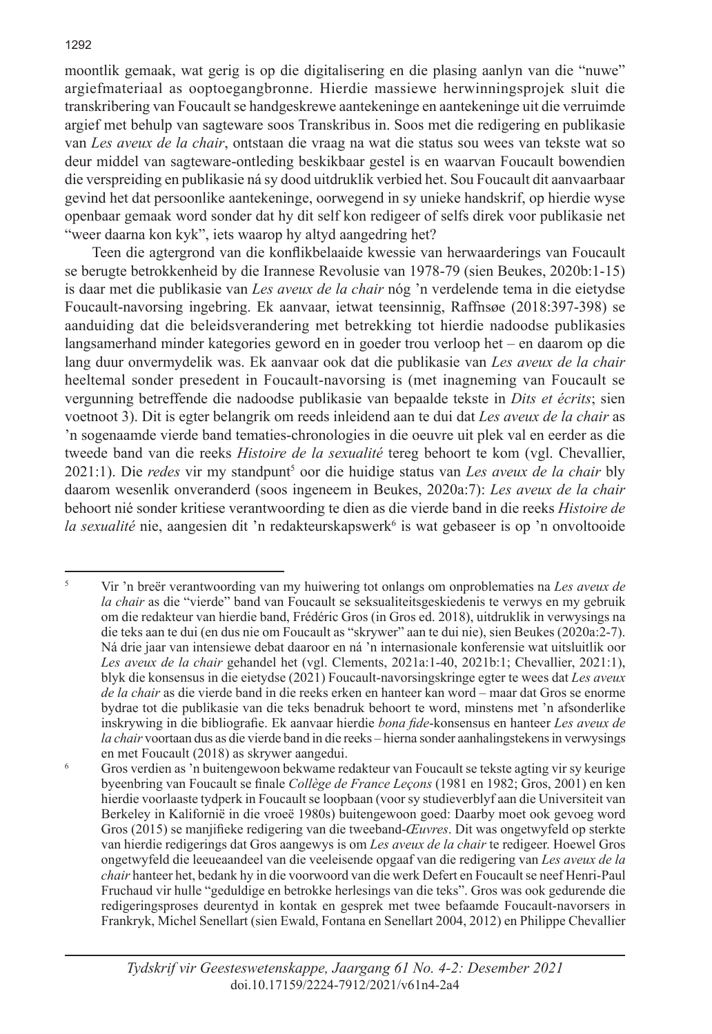moontlik gemaak, wat gerig is op die digitalisering en die plasing aanlyn van die "nuwe" argiefmateriaal as ooptoegangbronne. Hierdie massiewe herwinningsprojek sluit die transkribering van Foucault se handgeskrewe aantekeninge en aantekeninge uit die verruimde argief met behulp van sagteware soos Transkribus in. Soos met die redigering en publikasie van *Les aveux de la chair*, ontstaan die vraag na wat die status sou wees van tekste wat so deur middel van sagteware-ontleding beskikbaar gestel is en waarvan Foucault bowendien die verspreiding en publikasie ná sy dood uitdruklik verbied het. Sou Foucault dit aanvaarbaar gevind het dat persoonlike aantekeninge, oorwegend in sy unieke handskrif, op hierdie wyse openbaar gemaak word sonder dat hy dit self kon redigeer of selfs direk voor publikasie net "weer daarna kon kyk", iets waarop hy altyd aangedring het?

Teen die agtergrond van die konflikbelaaide kwessie van herwaarderings van Foucault se berugte betrokkenheid by die Irannese Revolusie van 1978-79 (sien Beukes, 2020b:1-15) is daar met die publikasie van *Les aveux de la chair* nóg 'n verdelende tema in die eietydse Foucault-navorsing ingebring. Ek aanvaar, ietwat teensinnig, Raffnsøe (2018:397-398) se aanduiding dat die beleidsverandering met betrekking tot hierdie nadoodse publikasies langsamerhand minder kategories geword en in goeder trou verloop het – en daarom op die lang duur onvermydelik was. Ek aanvaar ook dat die publikasie van *Les aveux de la chair* heeltemal sonder presedent in Foucault-navorsing is (met inagneming van Foucault se vergunning betreffende die nadoodse publikasie van bepaalde tekste in *Dits et écrits*; sien voetnoot 3). Dit is egter belangrik om reeds inleidend aan te dui dat *Les aveux de la chair* as 'n sogenaamde vierde band tematies-chronologies in die oeuvre uit plek val en eerder as die tweede band van die reeks *Histoire de la sexualité* tereg behoort te kom (vgl. Chevallier, 2021:1). Die *redes* vir my standpunt<sup>5</sup> oor die huidige status van *Les aveux de la chair* bly daarom wesenlik onveranderd (soos ingeneem in Beukes, 2020a:7): *Les aveux de la chair*  behoort nié sonder kritiese verantwoording te dien as die vierde band in die reeks *Histoire de*  la sexualité nie, aangesien dit 'n redakteurskapswerk<sup>6</sup> is wat gebaseer is op 'n onvoltooide

<sup>5</sup> Vir 'n breër verantwoording van my huiwering tot onlangs om onproblematies na *Les aveux de la chair* as die "vierde" band van Foucault se seksualiteitsgeskiedenis te verwys en my gebruik om die redakteur van hierdie band, Frédéric Gros (in Gros ed. 2018), uitdruklik in verwysings na die teks aan te dui (en dus nie om Foucault as "skrywer" aan te dui nie), sien Beukes (2020a:2-7). Ná drie jaar van intensiewe debat daaroor en ná 'n internasionale konferensie wat uitsluitlik oor *Les aveux de la chair* gehandel het (vgl. Clements, 2021a:1-40, 2021b:1; Chevallier, 2021:1), blyk die konsensus in die eietydse (2021) Foucault-navorsingskringe egter te wees dat *Les aveux de la chair* as die vierde band in die reeks erken en hanteer kan word – maar dat Gros se enorme bydrae tot die publikasie van die teks benadruk behoort te word, minstens met 'n afsonderlike inskrywing in die bibliografie. Ek aanvaar hierdie *bona fide*-konsensus en hanteer *Les aveux de la chair* voortaan dus as die vierde band in die reeks – hierna sonder aanhalingstekens in verwysings en met Foucault (2018) as skrywer aangedui.

<sup>6</sup> Gros verdien as 'n buitengewoon bekwame redakteur van Foucault se tekste agting vir sy keurige byeenbring van Foucault se finale *Collège de France Leçons* (1981 en 1982; Gros, 2001) en ken hierdie voorlaaste tydperk in Foucault se loopbaan (voor sy studieverblyf aan die Universiteit van Berkeley in Kalifornië in die vroeë 1980s) buitengewoon goed: Daarby moet ook gevoeg word Gros (2015) se manjifieke redigering van die tweeband-*Œuvres*. Dit was ongetwyfeld op sterkte van hierdie redigerings dat Gros aangewys is om *Les aveux de la chair* te redigeer. Hoewel Gros ongetwyfeld die leeueaandeel van die veeleisende opgaaf van die redigering van *Les aveux de la chair* hanteer het, bedank hy in die voorwoord van die werk Defert en Foucault se neef Henri-Paul Fruchaud vir hulle "geduldige en betrokke herlesings van die teks". Gros was ook gedurende die redigeringsproses deurentyd in kontak en gesprek met twee befaamde Foucault-navorsers in Frankryk, Michel Senellart (sien Ewald, Fontana en Senellart 2004, 2012) en Philippe Chevallier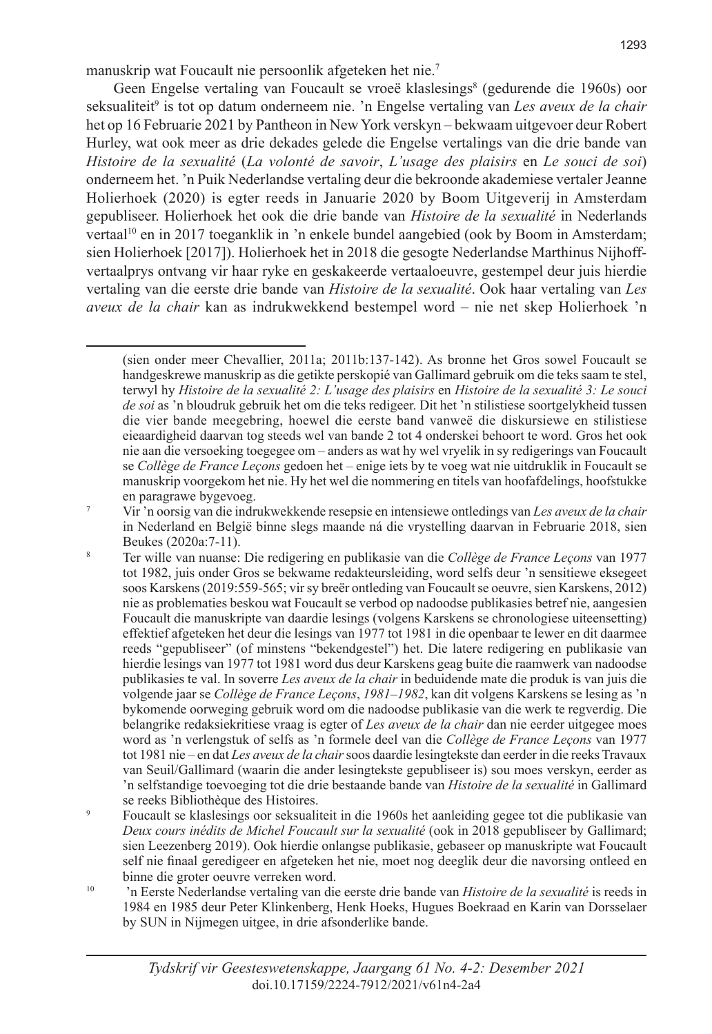manuskrip wat Foucault nie persoonlik afgeteken het nie.<sup>7</sup>

Geen Engelse vertaling van Foucault se vroeë klaslesings<sup>8</sup> (gedurende die 1960s) oor seksualiteit<sup>9</sup> is tot op datum onderneem nie. 'n Engelse vertaling van *Les aveux de la chair* het op 16 Februarie 2021 by Pantheon in New York verskyn – bekwaam uitgevoer deur Robert Hurley, wat ook meer as drie dekades gelede die Engelse vertalings van die drie bande van *Histoire de la sexualité* (*La volonté de savoir*, *L'usage des plaisirs* en *Le souci de soi*) onderneem het. 'n Puik Nederlandse vertaling deur die bekroonde akademiese vertaler Jeanne Holierhoek (2020) is egter reeds in Januarie 2020 by Boom Uitgeverij in Amsterdam gepubliseer. Holierhoek het ook die drie bande van *Histoire de la sexualité* in Nederlands vertaal<sup>10</sup> en in 2017 toeganklik in 'n enkele bundel aangebied (ook by Boom in Amsterdam; sien Holierhoek [2017]). Holierhoek het in 2018 die gesogte Nederlandse Marthinus Nijhoffvertaalprys ontvang vir haar ryke en geskakeerde vertaaloeuvre, gestempel deur juis hierdie vertaling van die eerste drie bande van *Histoire de la sexualité*. Ook haar vertaling van *Les aveux de la chair* kan as indrukwekkend bestempel word – nie net skep Holierhoek 'n

<sup>(</sup>sien onder meer Chevallier, 2011a; 2011b:137-142). As bronne het Gros sowel Foucault se handgeskrewe manuskrip as die getikte perskopié van Gallimard gebruik om die teks saam te stel, terwyl hy *Histoire de la sexualité 2: L'usage des plaisirs* en *Histoire de la sexualité 3: Le souci de soi* as 'n bloudruk gebruik het om die teks redigeer. Dit het 'n stilistiese soortgelykheid tussen die vier bande meegebring, hoewel die eerste band vanweë die diskursiewe en stilistiese eieaardigheid daarvan tog steeds wel van bande 2 tot 4 onderskei behoort te word. Gros het ook nie aan die versoeking toegegee om – anders as wat hy wel vryelik in sy redigerings van Foucault se *Collège de France Leçons* gedoen het – enige iets by te voeg wat nie uitdruklik in Foucault se manuskrip voorgekom het nie. Hy het wel die nommering en titels van hoofafdelings, hoofstukke en paragrawe bygevoeg.

<sup>7</sup> Vir 'n oorsig van die indrukwekkende resepsie en intensiewe ontledings van *Les aveux de la chair* in Nederland en België binne slegs maande ná die vrystelling daarvan in Februarie 2018, sien Beukes (2020a:7-11).

<sup>8</sup> Ter wille van nuanse: Die redigering en publikasie van die *Collège de France Leçons* van 1977 tot 1982, juis onder Gros se bekwame redakteursleiding, word selfs deur 'n sensitiewe eksegeet soos Karskens (2019:559-565; vir sy breër ontleding van Foucault se oeuvre, sien Karskens, 2012) nie as problematies beskou wat Foucault se verbod op nadoodse publikasies betref nie, aangesien Foucault die manuskripte van daardie lesings (volgens Karskens se chronologiese uiteensetting) effektief afgeteken het deur die lesings van 1977 tot 1981 in die openbaar te lewer en dit daarmee reeds "gepubliseer" (of minstens "bekendgestel") het. Die latere redigering en publikasie van hierdie lesings van 1977 tot 1981 word dus deur Karskens geag buite die raamwerk van nadoodse publikasies te val. In soverre *Les aveux de la chair* in beduidende mate die produk is van juis die volgende jaar se *Collège de France Leçons*, *1981–1982*, kan dit volgens Karskens se lesing as 'n bykomende oorweging gebruik word om die nadoodse publikasie van die werk te regverdig. Die belangrike redaksiekritiese vraag is egter of *Les aveux de la chair* dan nie eerder uitgegee moes word as 'n verlengstuk of selfs as 'n formele deel van die *Collège de France Leçons* van 1977 tot 1981 nie – en dat *Les aveux de la chair* soos daardie lesingtekste dan eerder in die reeks Travaux van Seuil/Gallimard (waarin die ander lesingtekste gepubliseer is) sou moes verskyn, eerder as 'n selfstandige toevoeging tot die drie bestaande bande van *Histoire de la sexualité* in Gallimard se reeks Bibliothèque des Histoires.

<sup>9</sup> Foucault se klaslesings oor seksualiteit in die 1960s het aanleiding gegee tot die publikasie van *Deux cours inédits de Michel Foucault sur la sexualité* (ook in 2018 gepubliseer by Gallimard; sien Leezenberg 2019). Ook hierdie onlangse publikasie, gebaseer op manuskripte wat Foucault self nie finaal geredigeer en afgeteken het nie, moet nog deeglik deur die navorsing ontleed en binne die groter oeuvre verreken word.

<sup>10</sup> 'n Eerste Nederlandse vertaling van die eerste drie bande van *Histoire de la sexualité* is reeds in 1984 en 1985 deur Peter Klinkenberg, Henk Hoeks, Hugues Boekraad en Karin van Dorsselaer by SUN in Nijmegen uitgee, in drie afsonderlike bande.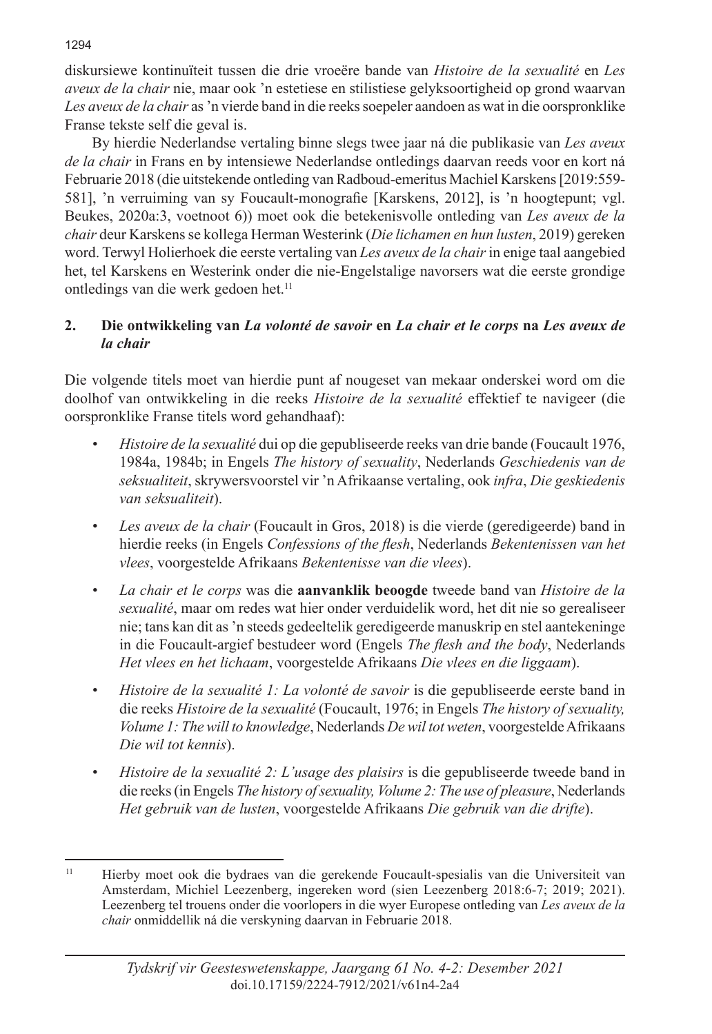diskursiewe kontinuïteit tussen die drie vroeëre bande van *Histoire de la sexualité* en *Les aveux de la chair* nie, maar ook 'n estetiese en stilistiese gelyksoortigheid op grond waarvan *Les aveux de la chair* as 'n vierde band in die reeks soepeler aandoen as wat in die oorspronklike Franse tekste self die geval is.

By hierdie Nederlandse vertaling binne slegs twee jaar ná die publikasie van *Les aveux de la chair* in Frans en by intensiewe Nederlandse ontledings daarvan reeds voor en kort ná Februarie 2018 (die uitstekende ontleding van Radboud-emeritus Machiel Karskens [2019:559- 581], 'n verruiming van sy Foucault-monografie [Karskens, 2012], is 'n hoogtepunt; vgl. Beukes, 2020a:3, voetnoot 6)) moet ook die betekenisvolle ontleding van *Les aveux de la chair* deur Karskens se kollega Herman Westerink (*Die lichamen en hun lusten*, 2019) gereken word. Terwyl Holierhoek die eerste vertaling van *Les aveux de la chair* in enige taal aangebied het, tel Karskens en Westerink onder die nie-Engelstalige navorsers wat die eerste grondige ontledings van die werk gedoen het.<sup>11</sup>

## **2. Die ontwikkeling van** *La volonté de savoir* **en** *La chair et le corps* **na** *Les aveux de la chair*

Die volgende titels moet van hierdie punt af nougeset van mekaar onderskei word om die doolhof van ontwikkeling in die reeks *Histoire de la sexualité* effektief te navigeer (die oorspronklike Franse titels word gehandhaaf):

- *• Histoire de la sexualité* dui op die gepubliseerde reeks van drie bande (Foucault 1976, 1984a, 1984b; in Engels *The history of sexuality*, Nederlands *Geschiedenis van de seksualiteit*, skrywersvoorstel vir 'n Afrikaanse vertaling, ook *infra*, *Die geskiedenis van seksualiteit*).
- *• Les aveux de la chair* (Foucault in Gros, 2018) is die vierde (geredigeerde) band in hierdie reeks (in Engels *Confessions of the flesh*, Nederlands *Bekentenissen van het vlees*, voorgestelde Afrikaans *Bekentenisse van die vlees*).
- *• La chair et le corps* was die **aanvanklik beoogde** tweede band van *Histoire de la sexualité*, maar om redes wat hier onder verduidelik word, het dit nie so gerealiseer nie; tans kan dit as 'n steeds gedeeltelik geredigeerde manuskrip en stel aantekeninge in die Foucault-argief bestudeer word (Engels *The flesh and the body*, Nederlands *Het vlees en het lichaam*, voorgestelde Afrikaans *Die vlees en die liggaam*).
- *• Histoire de la sexualité 1: La volonté de savoir* is die gepubliseerde eerste band in die reeks *Histoire de la sexualité* (Foucault, 1976; in Engels *The history of sexuality, Volume 1: The will to knowledge*, Nederlands *De wil tot weten*, voorgestelde Afrikaans *Die wil tot kennis*).
- *• Histoire de la sexualité 2: L'usage des plaisirs* is die gepubliseerde tweede band in die reeks (in Engels *The history of sexuality, Volume 2: The use of pleasure*, Nederlands *Het gebruik van de lusten*, voorgestelde Afrikaans *Die gebruik van die drifte*).

1294

<sup>11</sup> Hierby moet ook die bydraes van die gerekende Foucault-spesialis van die Universiteit van Amsterdam, Michiel Leezenberg, ingereken word (sien Leezenberg 2018:6-7; 2019; 2021). Leezenberg tel trouens onder die voorlopers in die wyer Europese ontleding van *Les aveux de la chair* onmiddellik ná die verskyning daarvan in Februarie 2018.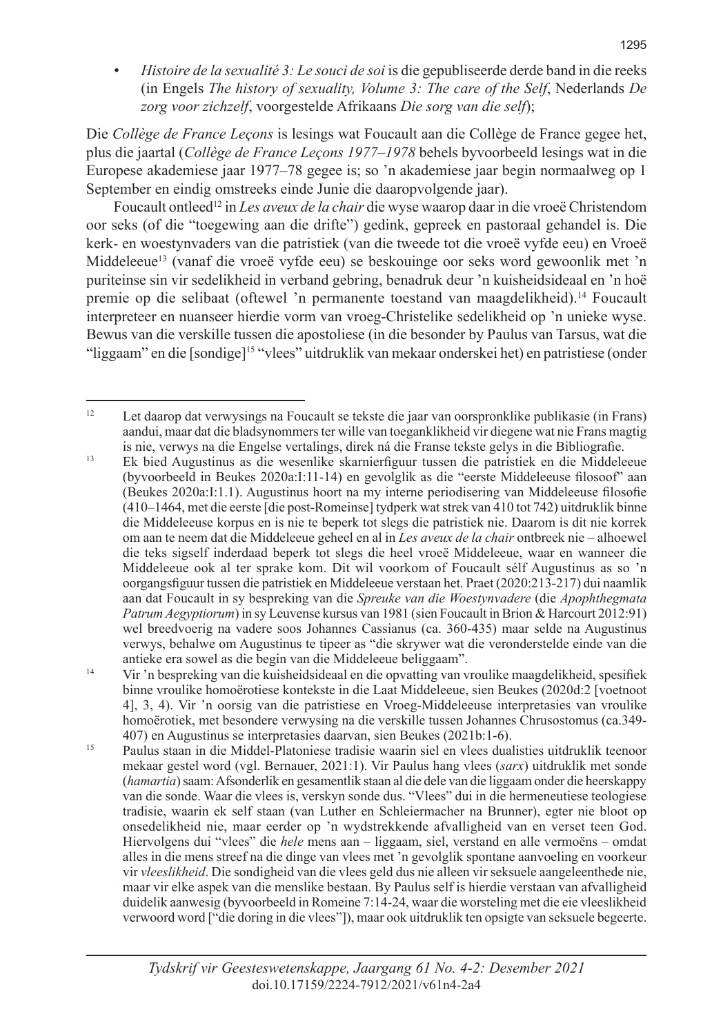*• Histoire de la sexualité 3: Le souci de soi* is die gepubliseerde derde band in die reeks (in Engels *The history of sexuality, Volume 3: The care of the Self*, Nederlands *De zorg voor zichzelf*, voorgestelde Afrikaans *Die sorg van die self*);

Die *Collège de France Leçons* is lesings wat Foucault aan die Collège de France gegee het, plus die jaartal (*Collège de France Leçons 1977–1978* behels byvoorbeeld lesings wat in die Europese akademiese jaar 1977–78 gegee is; so 'n akademiese jaar begin normaalweg op 1 September en eindig omstreeks einde Junie die daaropvolgende jaar).

Foucault ontleed12 in *Les aveux de la chair* die wyse waarop daar in die vroeë Christendom oor seks (of die "toegewing aan die drifte") gedink, gepreek en pastoraal gehandel is. Die kerk- en woestynvaders van die patristiek (van die tweede tot die vroeë vyfde eeu) en Vroeë Middeleeue<sup>13</sup> (vanaf die vroeë vyfde eeu) se beskouinge oor seks word gewoonlik met 'n puriteinse sin vir sedelikheid in verband gebring, benadruk deur 'n kuisheidsideaal en 'n hoë premie op die selibaat (oftewel 'n permanente toestand van maagdelikheid).<sup>14</sup> Foucault interpreteer en nuanseer hierdie vorm van vroeg-Christelike sedelikheid op 'n unieke wyse. Bewus van die verskille tussen die apostoliese (in die besonder by Paulus van Tarsus, wat die "liggaam" en die [sondige]15 "vlees" uitdruklik van mekaar onderskei het) en patristiese (onder

 $12$  Let daarop dat verwysings na Foucault se tekste die jaar van oorspronklike publikasie (in Frans) aandui, maar dat die bladsynommers ter wille van toeganklikheid vir diegene wat nie Frans magtig is nie, verwys na die Engelse vertalings, direk ná die Franse tekste gelys in die Bibliografie.

<sup>13</sup> Ek bied Augustinus as die wesenlike skarnierfiguur tussen die patristiek en die Middeleeue (byvoorbeeld in Beukes 2020a:I:11-14) en gevolglik as die "eerste Middeleeuse filosoof" aan (Beukes 2020a:I:1.1). Augustinus hoort na my interne periodisering van Middeleeuse filosofie (410–1464, met die eerste [die post-Romeinse] tydperk wat strek van 410 tot 742) uitdruklik binne die Middeleeuse korpus en is nie te beperk tot slegs die patristiek nie. Daarom is dit nie korrek om aan te neem dat die Middeleeue geheel en al in *Les aveux de la chair* ontbreek nie – alhoewel die teks sigself inderdaad beperk tot slegs die heel vroeë Middeleeue, waar en wanneer die Middeleeue ook al ter sprake kom. Dit wil voorkom of Foucault sélf Augustinus as so 'n oorgangsfiguur tussen die patristiek en Middeleeue verstaan het. Praet (2020:213-217) dui naamlik aan dat Foucault in sy bespreking van die *Spreuke van die Woestynvadere* (die *Apophthegmata Patrum Aegyptiorum*) in sy Leuvense kursus van 1981 (sien Foucault in Brion & Harcourt 2012:91) wel breedvoerig na vadere soos Johannes Cassianus (ca. 360-435) maar selde na Augustinus verwys, behalwe om Augustinus te tipeer as "die skrywer wat die veronderstelde einde van die antieke era sowel as die begin van die Middeleeue beliggaam".

<sup>14</sup> Vir 'n bespreking van die kuisheidsideaal en die opvatting van vroulike maagdelikheid, spesifiek binne vroulike homoërotiese kontekste in die Laat Middeleeue, sien Beukes (2020d:2 [voetnoot 4], 3, 4). Vir 'n oorsig van die patristiese en Vroeg-Middeleeuse interpretasies van vroulike homoërotiek, met besondere verwysing na die verskille tussen Johannes Chrusostomus (ca.349- 407) en Augustinus se interpretasies daarvan, sien Beukes (2021b:1-6).

<sup>15</sup> Paulus staan in die Middel-Platoniese tradisie waarin siel en vlees dualisties uitdruklik teenoor mekaar gestel word (vgl. Bernauer, 2021:1). Vir Paulus hang vlees (*sarx*) uitdruklik met sonde (*hamartia*) saam: Afsonderlik en gesamentlik staan al die dele van die liggaam onder die heerskappy van die sonde. Waar die vlees is, verskyn sonde dus. "Vlees" dui in die hermeneutiese teologiese tradisie, waarin ek self staan (van Luther en Schleiermacher na Brunner), egter nie bloot op onsedelikheid nie, maar eerder op 'n wydstrekkende afvalligheid van en verset teen God. Hiervolgens dui "vlees" die *hele* mens aan – liggaam, siel, verstand en alle vermoëns – omdat alles in die mens streef na die dinge van vlees met 'n gevolglik spontane aanvoeling en voorkeur vir *vleeslikheid*. Die sondigheid van die vlees geld dus nie alleen vir seksuele aangeleenthede nie, maar vir elke aspek van die menslike bestaan. By Paulus self is hierdie verstaan van afvalligheid duidelik aanwesig (byvoorbeeld in Romeine 7:14-24, waar die worsteling met die eie vleeslikheid verwoord word ["die doring in die vlees"]), maar ook uitdruklik ten opsigte van seksuele begeerte.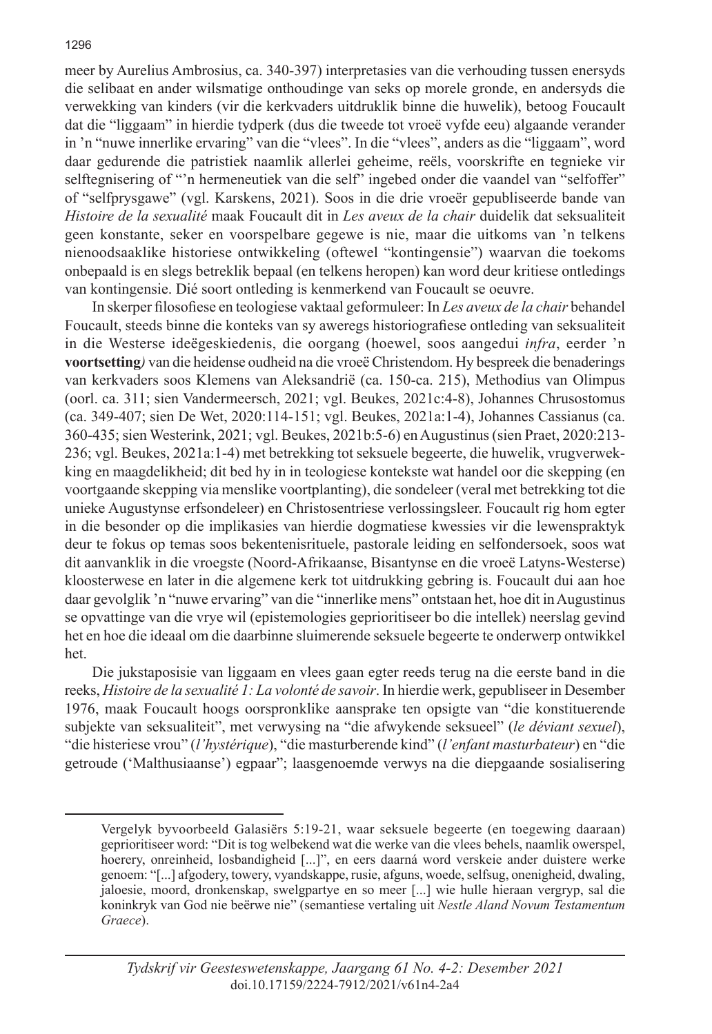meer by Aurelius Ambrosius, ca. 340-397) interpretasies van die verhouding tussen enersyds die selibaat en ander wilsmatige onthoudinge van seks op morele gronde, en andersyds die verwekking van kinders (vir die kerkvaders uitdruklik binne die huwelik), betoog Foucault dat die "liggaam" in hierdie tydperk (dus die tweede tot vroeë vyfde eeu) algaande verander in 'n "nuwe innerlike ervaring" van die "vlees". In die "vlees", anders as die "liggaam", word daar gedurende die patristiek naamlik allerlei geheime, reëls, voorskrifte en tegnieke vir selftegnisering of "'n hermeneutiek van die self" ingebed onder die vaandel van "selfoffer" of "selfprysgawe" (vgl. Karskens, 2021). Soos in die drie vroeër gepubliseerde bande van *Histoire de la sexualité* maak Foucault dit in *Les aveux de la chair* duidelik dat seksualiteit geen konstante, seker en voorspelbare gegewe is nie, maar die uitkoms van 'n telkens nienoodsaaklike historiese ontwikkeling (oftewel "kontingensie") waarvan die toekoms onbepaald is en slegs betreklik bepaal (en telkens heropen) kan word deur kritiese ontledings van kontingensie. Dié soort ontleding is kenmerkend van Foucault se oeuvre.

In skerper filosofiese en teologiese vaktaal geformuleer: In *Les aveux de la chair* behandel Foucault, steeds binne die konteks van sy aweregs historiografiese ontleding van seksualiteit in die Westerse ideëgeskiedenis, die oorgang (hoewel, soos aangedui *infra*, eerder 'n **voortsetting***)* van die heidense oudheid na die vroeë Christendom. Hy bespreek die benaderings van kerkvaders soos Klemens van Aleksandrië (ca. 150-ca. 215), Methodius van Olimpus (oorl. ca. 311; sien Vandermeersch, 2021; vgl. Beukes, 2021c:4-8), Johannes Chrusostomus (ca. 349-407; sien De Wet, 2020:114-151; vgl. Beukes, 2021a:1-4), Johannes Cassianus (ca. 360-435; sien Westerink, 2021; vgl. Beukes, 2021b:5-6) en Augustinus (sien Praet, 2020:213- 236; vgl. Beukes, 2021a:1-4) met betrekking tot seksuele begeerte, die huwelik, vrugverwekking en maagdelikheid; dit bed hy in in teologiese kontekste wat handel oor die skepping (en voortgaande skepping via menslike voortplanting), die sondeleer (veral met betrekking tot die unieke Augustynse erfsondeleer) en Christosentriese verlossingsleer. Foucault rig hom egter in die besonder op die implikasies van hierdie dogmatiese kwessies vir die lewenspraktyk deur te fokus op temas soos bekentenisrituele, pastorale leiding en selfondersoek, soos wat dit aanvanklik in die vroegste (Noord-Afrikaanse, Bisantynse en die vroeë Latyns-Westerse) kloosterwese en later in die algemene kerk tot uitdrukking gebring is. Foucault dui aan hoe daar gevolglik 'n "nuwe ervaring" van die "innerlike mens" ontstaan het, hoe dit in Augustinus se opvattinge van die vrye wil (epistemologies geprioritiseer bo die intellek) neerslag gevind het en hoe die ideaal om die daarbinne sluimerende seksuele begeerte te onderwerp ontwikkel het.

Die jukstaposisie van liggaam en vlees gaan egter reeds terug na die eerste band in die reeks, *Histoire de la sexualité 1: La volonté de savoir*. In hierdie werk, gepubliseer in Desember 1976, maak Foucault hoogs oorspronklike aansprake ten opsigte van "die konstituerende subjekte van seksualiteit", met verwysing na "die afwykende seksueel" (*le déviant sexuel*), "die histeriese vrou" (*l'hystérique*), "die masturberende kind" (*l'enfant masturbateur*) en "die getroude ('Malthusiaanse') egpaar"; laasgenoemde verwys na die diepgaande sosialisering

Vergelyk byvoorbeeld Galasiërs 5:19-21, waar seksuele begeerte (en toegewing daaraan) geprioritiseer word: "Dit is tog welbekend wat die werke van die vlees behels, naamlik owerspel, hoerery, onreinheid, losbandigheid [...]", en eers daarná word verskeie ander duistere werke genoem: "[...] afgodery, towery, vyandskappe, rusie, afguns, woede, selfsug, onenigheid, dwaling, jaloesie, moord, dronkenskap, swelgpartye en so meer [...] wie hulle hieraan vergryp, sal die koninkryk van God nie beërwe nie" (semantiese vertaling uit *Nestle Aland Novum Testamentum Graece*).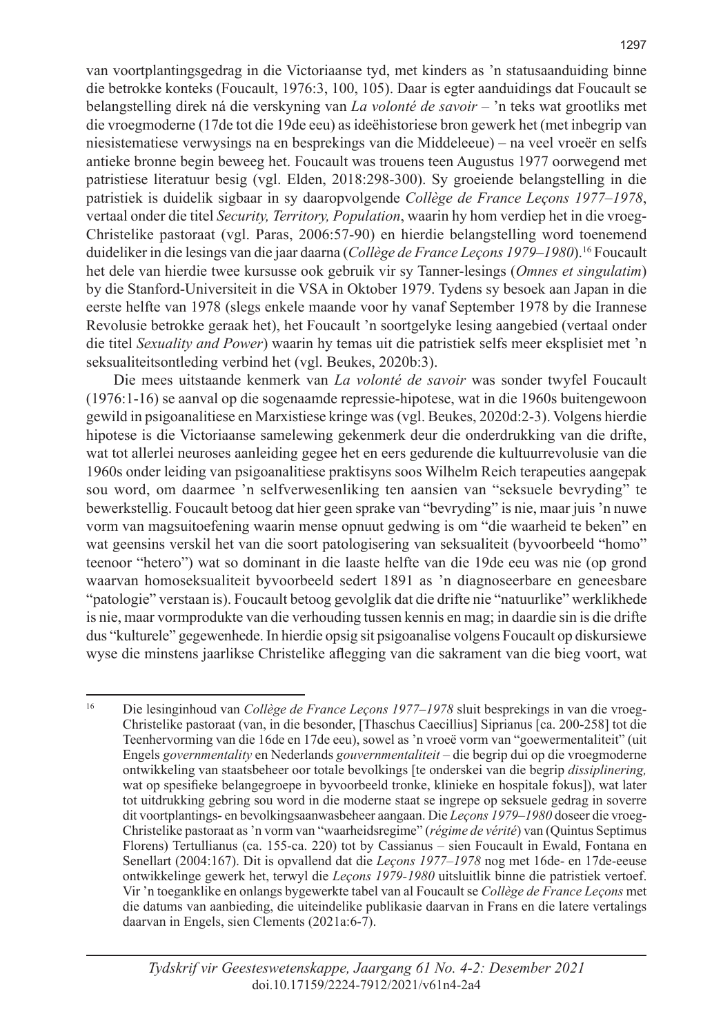van voortplantingsgedrag in die Victoriaanse tyd, met kinders as 'n statusaanduiding binne die betrokke konteks (Foucault, 1976:3, 100, 105). Daar is egter aanduidings dat Foucault se belangstelling direk ná die verskyning van *La volonté de savoir* – 'n teks wat grootliks met die vroegmoderne (17de tot die 19de eeu) as ideëhistoriese bron gewerk het (met inbegrip van niesistematiese verwysings na en besprekings van die Middeleeue) – na veel vroeër en selfs antieke bronne begin beweeg het. Foucault was trouens teen Augustus 1977 oorwegend met patristiese literatuur besig (vgl. Elden, 2018:298-300). Sy groeiende belangstelling in die patristiek is duidelik sigbaar in sy daaropvolgende *Collège de France Leçons 1977–1978*, vertaal onder die titel *Security, Territory, Population*, waarin hy hom verdiep het in die vroeg-Christelike pastoraat (vgl. Paras, 2006:57-90) en hierdie belangstelling word toenemend duideliker in die lesings van die jaar daarna (*Collège de France Leçons 1979–1980*).<sup>16</sup> Foucault het dele van hierdie twee kursusse ook gebruik vir sy Tanner-lesings (*Omnes et singulatim*) by die Stanford-Universiteit in die VSA in Oktober 1979. Tydens sy besoek aan Japan in die eerste helfte van 1978 (slegs enkele maande voor hy vanaf September 1978 by die Irannese Revolusie betrokke geraak het), het Foucault 'n soortgelyke lesing aangebied (vertaal onder die titel *Sexuality and Power*) waarin hy temas uit die patristiek selfs meer eksplisiet met 'n seksualiteitsontleding verbind het (vgl. Beukes, 2020b:3).

Die mees uitstaande kenmerk van *La volonté de savoir* was sonder twyfel Foucault (1976:1-16) se aanval op die sogenaamde repressie-hipotese, wat in die 1960s buitengewoon gewild in psigoanalitiese en Marxistiese kringe was (vgl. Beukes, 2020d:2-3). Volgens hierdie hipotese is die Victoriaanse samelewing gekenmerk deur die onderdrukking van die drifte, wat tot allerlei neuroses aanleiding gegee het en eers gedurende die kultuurrevolusie van die 1960s onder leiding van psigoanalitiese praktisyns soos Wilhelm Reich terapeuties aangepak sou word, om daarmee 'n selfverwesenliking ten aansien van "seksuele bevryding" te bewerkstellig. Foucault betoog dat hier geen sprake van "bevryding" is nie, maar juis 'n nuwe vorm van magsuitoefening waarin mense opnuut gedwing is om "die waarheid te beken" en wat geensins verskil het van die soort patologisering van seksualiteit (byvoorbeeld "homo" teenoor "hetero") wat so dominant in die laaste helfte van die 19de eeu was nie (op grond waarvan homoseksualiteit byvoorbeeld sedert 1891 as 'n diagnoseerbare en geneesbare "patologie" verstaan is). Foucault betoog gevolglik dat die drifte nie "natuurlike" werklikhede is nie, maar vormprodukte van die verhouding tussen kennis en mag; in daardie sin is die drifte dus "kulturele" gegewenhede. In hierdie opsig sit psigoanalise volgens Foucault op diskursiewe wyse die minstens jaarlikse Christelike aflegging van die sakrament van die bieg voort, wat

<sup>16</sup> Die lesinginhoud van *Collège de France Leçons 1977–1978* sluit besprekings in van die vroeg-Christelike pastoraat (van, in die besonder, [Thaschus Caecillius] Siprianus [ca. 200-258] tot die Teenhervorming van die 16de en 17de eeu), sowel as 'n vroeë vorm van "goewermentaliteit" (uit Engels *governmentality* en Nederlands *gouvernmentaliteit* – die begrip dui op die vroegmoderne ontwikkeling van staatsbeheer oor totale bevolkings [te onderskei van die begrip *dissiplinering,* wat op spesifieke belangegroepe in byvoorbeeld tronke, klinieke en hospitale fokus]), wat later tot uitdrukking gebring sou word in die moderne staat se ingrepe op seksuele gedrag in soverre dit voortplantings- en bevolkingsaanwasbeheer aangaan. Die *Leçons 1979–1980* doseer die vroeg-Christelike pastoraat as 'n vorm van "waarheidsregime" (*régime de vérité*) van (Quintus Septimus Florens) Tertullianus (ca. 155-ca. 220) tot by Cassianus – sien Foucault in Ewald, Fontana en Senellart (2004:167). Dit is opvallend dat die *Leçons 1977–1978* nog met 16de- en 17de-eeuse ontwikkelinge gewerk het, terwyl die *Leçons 1979-1980* uitsluitlik binne die patristiek vertoef. Vir 'n toeganklike en onlangs bygewerkte tabel van al Foucault se *Collège de France Leçons* met die datums van aanbieding, die uiteindelike publikasie daarvan in Frans en die latere vertalings daarvan in Engels, sien Clements (2021a:6-7).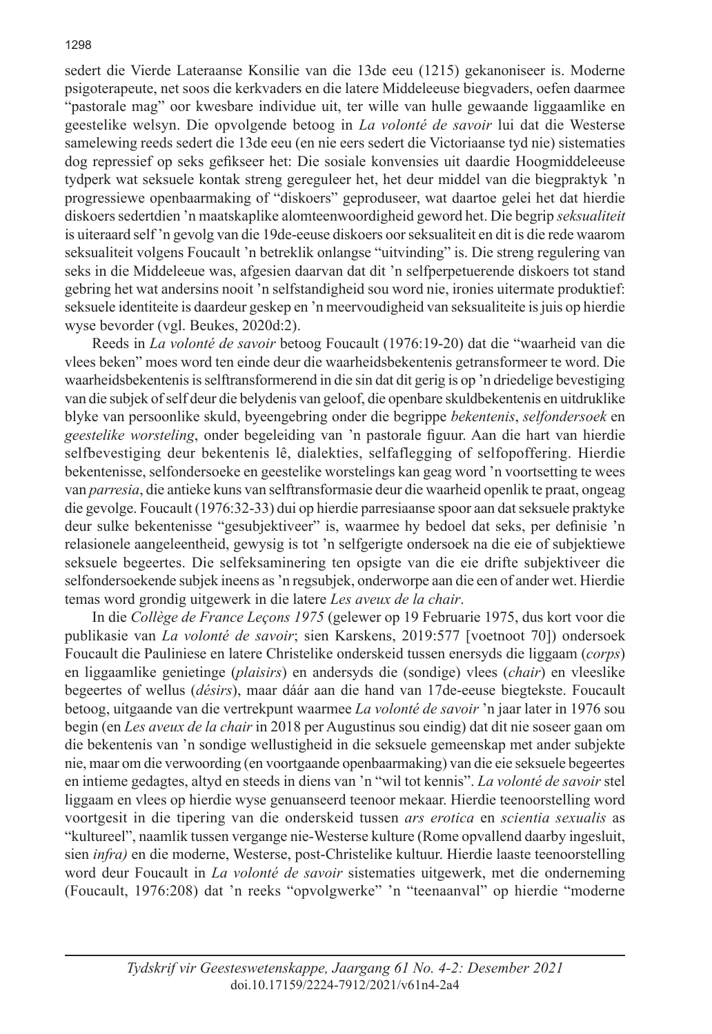sedert die Vierde Lateraanse Konsilie van die 13de eeu (1215) gekanoniseer is. Moderne psigoterapeute, net soos die kerkvaders en die latere Middeleeuse biegvaders, oefen daarmee "pastorale mag" oor kwesbare individue uit, ter wille van hulle gewaande liggaamlike en geestelike welsyn. Die opvolgende betoog in *La volonté de savoir* lui dat die Westerse samelewing reeds sedert die 13de eeu (en nie eers sedert die Victoriaanse tyd nie) sistematies dog repressief op seks gefikseer het: Die sosiale konvensies uit daardie Hoogmiddeleeuse tydperk wat seksuele kontak streng gereguleer het, het deur middel van die biegpraktyk 'n progressiewe openbaarmaking of "diskoers" geproduseer, wat daartoe gelei het dat hierdie diskoers sedertdien 'n maatskaplike alomteenwoordigheid geword het. Die begrip *seksualiteit*  is uiteraard self 'n gevolg van die 19de-eeuse diskoers oor seksualiteit en dit is die rede waarom seksualiteit volgens Foucault 'n betreklik onlangse "uitvinding" is. Die streng regulering van seks in die Middeleeue was, afgesien daarvan dat dit 'n selfperpetuerende diskoers tot stand gebring het wat andersins nooit 'n selfstandigheid sou word nie, ironies uitermate produktief: seksuele identiteite is daardeur geskep en 'n meervoudigheid van seksualiteite is juis op hierdie wyse bevorder (vgl. Beukes, 2020d:2).

Reeds in *La volonté de savoir* betoog Foucault (1976:19-20) dat die "waarheid van die vlees beken" moes word ten einde deur die waarheidsbekentenis getransformeer te word. Die waarheidsbekentenis is selftransformerend in die sin dat dit gerig is op 'n driedelige bevestiging van die subjek of self deur die belydenis van geloof, die openbare skuldbekentenis en uitdruklike blyke van persoonlike skuld, byeengebring onder die begrippe *bekentenis*, *selfondersoek* en *geestelike worsteling*, onder begeleiding van 'n pastorale figuur. Aan die hart van hierdie selfbevestiging deur bekentenis lê, dialekties, selfaflegging of selfopoffering. Hierdie bekentenisse, selfondersoeke en geestelike worstelings kan geag word 'n voortsetting te wees van *parresia*, die antieke kuns van selftransformasie deur die waarheid openlik te praat, ongeag die gevolge. Foucault (1976:32-33) dui op hierdie parresiaanse spoor aan dat seksuele praktyke deur sulke bekentenisse "gesubjektiveer" is, waarmee hy bedoel dat seks, per definisie 'n relasionele aangeleentheid, gewysig is tot 'n selfgerigte ondersoek na die eie of subjektiewe seksuele begeertes. Die selfeksaminering ten opsigte van die eie drifte subjektiveer die selfondersoekende subjek ineens as 'n regsubjek, onderworpe aan die een of ander wet. Hierdie temas word grondig uitgewerk in die latere *Les aveux de la chair*.

In die *Collège de France Leçons 1975* (gelewer op 19 Februarie 1975, dus kort voor die publikasie van *La volonté de savoir*; sien Karskens, 2019:577 [voetnoot 70]) ondersoek Foucault die Pauliniese en latere Christelike onderskeid tussen enersyds die liggaam (*corps*) en liggaamlike genietinge (*plaisirs*) en andersyds die (sondige) vlees (*chair*) en vleeslike begeertes of wellus (*désirs*), maar dáár aan die hand van 17de-eeuse biegtekste. Foucault betoog, uitgaande van die vertrekpunt waarmee *La volonté de savoir* 'n jaar later in 1976 sou begin (en *Les aveux de la chair* in 2018 per Augustinus sou eindig) dat dit nie soseer gaan om die bekentenis van 'n sondige wellustigheid in die seksuele gemeenskap met ander subjekte nie, maar om die verwoording (en voortgaande openbaarmaking) van die eie seksuele begeertes en intieme gedagtes, altyd en steeds in diens van 'n "wil tot kennis". *La volonté de savoir* stel liggaam en vlees op hierdie wyse genuanseerd teenoor mekaar. Hierdie teenoorstelling word voortgesit in die tipering van die onderskeid tussen *ars erotica* en *scientia sexualis* as "kultureel", naamlik tussen vergange nie-Westerse kulture (Rome opvallend daarby ingesluit, sien *infra)* en die moderne, Westerse, post-Christelike kultuur. Hierdie laaste teenoorstelling word deur Foucault in *La volonté de savoir* sistematies uitgewerk, met die onderneming (Foucault, 1976:208) dat 'n reeks "opvolgwerke" 'n "teenaanval" op hierdie "moderne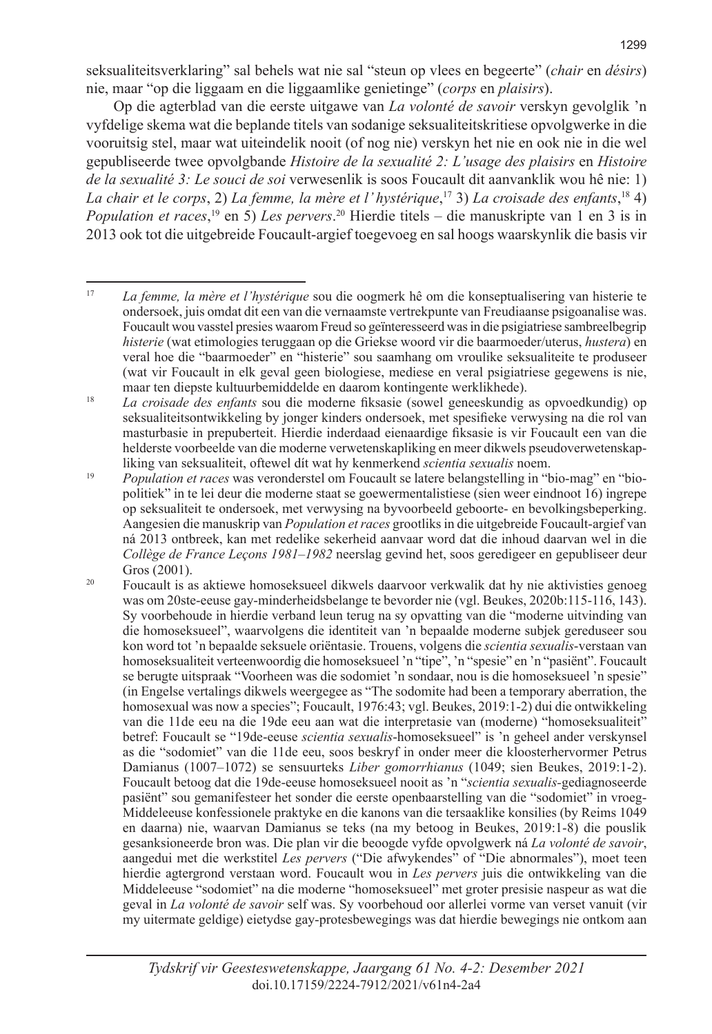seksualiteitsverklaring" sal behels wat nie sal "steun op vlees en begeerte" (*chair* en *désirs*) nie, maar "op die liggaam en die liggaamlike genietinge" (*corps* en *plaisirs*).

Op die agterblad van die eerste uitgawe van *La volonté de savoir* verskyn gevolglik 'n vyfdelige skema wat die beplande titels van sodanige seksualiteitskritiese opvolgwerke in die vooruitsig stel, maar wat uiteindelik nooit (of nog nie) verskyn het nie en ook nie in die wel gepubliseerde twee opvolgbande *Histoire de la sexualité 2: L'usage des plaisirs* en *Histoire de la sexualité 3: Le souci de soi* verwesenlik is soos Foucault dit aanvanklik wou hê nie: 1) *La chair et le corps*, 2) *La femme, la mère et l' hystérique*, <sup>17</sup> 3) *La croisade des enfants*, 18 4) *Population et races*, <sup>19</sup> en 5) *Les pervers*. <sup>20</sup> Hierdie titels – die manuskripte van 1 en 3 is in 2013 ook tot die uitgebreide Foucault-argief toegevoeg en sal hoogs waarskynlik die basis vir

<sup>17</sup> *La femme, la mère et l'hystérique* sou die oogmerk hê om die konseptualisering van histerie te ondersoek, juis omdat dit een van die vernaamste vertrekpunte van Freudiaanse psigoanalise was. Foucault wou vasstel presies waarom Freud so geïnteresseerd was in die psigiatriese sambreelbegrip *histerie* (wat etimologies teruggaan op die Griekse woord vir die baarmoeder/uterus, *hustera*) en veral hoe die "baarmoeder" en "histerie" sou saamhang om vroulike seksualiteite te produseer (wat vir Foucault in elk geval geen biologiese, mediese en veral psigiatriese gegewens is nie, maar ten diepste kultuurbemiddelde en daarom kontingente werklikhede).

<sup>18</sup> *La croisade des enfants* sou die moderne fiksasie (sowel geneeskundig as opvoedkundig) op seksualiteitsontwikkeling by jonger kinders ondersoek, met spesifieke verwysing na die rol van masturbasie in prepuberteit. Hierdie inderdaad eienaardige fiksasie is vir Foucault een van die helderste voorbeelde van die moderne verwetenskapliking en meer dikwels pseudoverwetenskapliking van seksualiteit, oftewel dít wat hy kenmerkend *scientia sexualis* noem.

<sup>19</sup> *Population et races* was veronderstel om Foucault se latere belangstelling in "bio-mag" en "biopolitiek" in te lei deur die moderne staat se goewermentalistiese (sien weer eindnoot 16) ingrepe op seksualiteit te ondersoek, met verwysing na byvoorbeeld geboorte- en bevolkingsbeperking. Aangesien die manuskrip van *Population et races* grootliks in die uitgebreide Foucault-argief van ná 2013 ontbreek, kan met redelike sekerheid aanvaar word dat die inhoud daarvan wel in die *Collège de France Leçons 1981–1982* neerslag gevind het, soos geredigeer en gepubliseer deur Gros (2001).

<sup>&</sup>lt;sup>20</sup> Foucault is as aktiewe homoseksueel dikwels daarvoor verkwalik dat hy nie aktivisties genoeg was om 20ste-eeuse gay-minderheidsbelange te bevorder nie (vgl. Beukes, 2020b:115-116, 143). Sy voorbehoude in hierdie verband leun terug na sy opvatting van die "moderne uitvinding van die homoseksueel", waarvolgens die identiteit van 'n bepaalde moderne subjek gereduseer sou kon word tot 'n bepaalde seksuele oriëntasie. Trouens, volgens die *scientia sexualis*-verstaan van homoseksualiteit verteenwoordig die homoseksueel 'n "tipe", 'n "spesie" en 'n "pasiënt". Foucault se berugte uitspraak "Voorheen was die sodomiet 'n sondaar, nou is die homoseksueel 'n spesie" (in Engelse vertalings dikwels weergegee as "The sodomite had been a temporary aberration, the homosexual was now a species"; Foucault, 1976:43; vgl. Beukes, 2019:1-2) dui die ontwikkeling van die 11de eeu na die 19de eeu aan wat die interpretasie van (moderne) "homoseksualiteit" betref: Foucault se "19de-eeuse *scientia sexualis*-homoseksueel" is 'n geheel ander verskynsel as die "sodomiet" van die 11de eeu, soos beskryf in onder meer die kloosterhervormer Petrus Damianus (1007–1072) se sensuurteks *Liber gomorrhianus* (1049; sien Beukes, 2019:1-2). Foucault betoog dat die 19de-eeuse homoseksueel nooit as 'n "*scientia sexualis-*gediagnoseerde pasiënt" sou gemanifesteer het sonder die eerste openbaarstelling van die "sodomiet" in vroeg-Middeleeuse konfessionele praktyke en die kanons van die tersaaklike konsilies (by Reims 1049 en daarna) nie, waarvan Damianus se teks (na my betoog in Beukes, 2019:1-8) die pouslik gesanksioneerde bron was. Die plan vir die beoogde vyfde opvolgwerk ná *La volonté de savoir*, aangedui met die werkstitel *Les pervers* ("Die afwykendes" of "Die abnormales"), moet teen hierdie agtergrond verstaan word. Foucault wou in *Les pervers* juis die ontwikkeling van die Middeleeuse "sodomiet" na die moderne "homoseksueel" met groter presisie naspeur as wat die geval in *La volonté de savoir* self was. Sy voorbehoud oor allerlei vorme van verset vanuit (vir my uitermate geldige) eietydse gay-protesbewegings was dat hierdie bewegings nie ontkom aan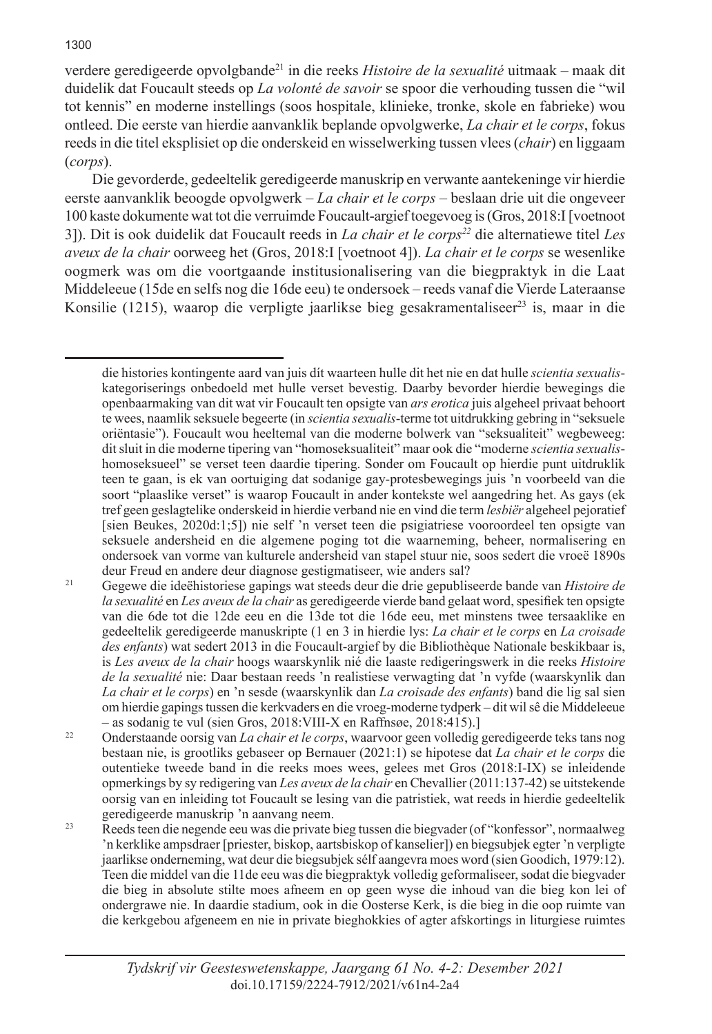verdere geredigeerde opvolgbande<sup>21</sup> in die reeks *Histoire de la sexualité* uitmaak – maak dit duidelik dat Foucault steeds op *La volonté de savoir* se spoor die verhouding tussen die "wil tot kennis" en moderne instellings (soos hospitale, klinieke, tronke, skole en fabrieke) wou ontleed. Die eerste van hierdie aanvanklik beplande opvolgwerke, *La chair et le corps*, fokus reeds in die titel eksplisiet op die onderskeid en wisselwerking tussen vlees (*chair*) en liggaam (*corps*).

Die gevorderde, gedeeltelik geredigeerde manuskrip en verwante aantekeninge vir hierdie eerste aanvanklik beoogde opvolgwerk – *La chair et le corps* – beslaan drie uit die ongeveer 100 kaste dokumente wat tot die verruimde Foucault-argief toegevoeg is (Gros, 2018:I [voetnoot 3]). Dit is ook duidelik dat Foucault reeds in *La chair et le corps22* die alternatiewe titel *Les aveux de la chair* oorweeg het (Gros, 2018:I [voetnoot 4]). *La chair et le corps* se wesenlike oogmerk was om die voortgaande institusionalisering van die biegpraktyk in die Laat Middeleeue (15de en selfs nog die 16de eeu) te ondersoek – reeds vanaf die Vierde Lateraanse Konsilie (1215), waarop die verpligte jaarlikse bieg gesakramentaliseer<sup>23</sup> is, maar in die

die histories kontingente aard van juis dít waarteen hulle dit het nie en dat hulle *scientia sexualis*kategoriserings onbedoeld met hulle verset bevestig. Daarby bevorder hierdie bewegings die openbaarmaking van dit wat vir Foucault ten opsigte van *ars erotica* juis algeheel privaat behoort te wees, naamlik seksuele begeerte (in *scientia sexualis*-terme tot uitdrukking gebring in "seksuele oriëntasie"). Foucault wou heeltemal van die moderne bolwerk van "seksualiteit" wegbeweeg: dit sluit in die moderne tipering van "homoseksualiteit" maar ook die "moderne *scientia sexualis*homoseksueel" se verset teen daardie tipering. Sonder om Foucault op hierdie punt uitdruklik teen te gaan, is ek van oortuiging dat sodanige gay-protesbewegings juis 'n voorbeeld van die soort "plaaslike verset" is waarop Foucault in ander kontekste wel aangedring het. As gays (ek tref geen geslagtelike onderskeid in hierdie verband nie en vind die term *lesbiër* algeheel pejoratief [sien Beukes, 2020d:1;5]) nie self 'n verset teen die psigiatriese vooroordeel ten opsigte van seksuele andersheid en die algemene poging tot die waarneming, beheer, normalisering en ondersoek van vorme van kulturele andersheid van stapel stuur nie, soos sedert die vroeë 1890s deur Freud en andere deur diagnose gestigmatiseer, wie anders sal?

<sup>21</sup> Gegewe die ideëhistoriese gapings wat steeds deur die drie gepubliseerde bande van *Histoire de la sexualité* en *Les aveux de la chair* as geredigeerde vierde band gelaat word, spesifiek ten opsigte van die 6de tot die 12de eeu en die 13de tot die 16de eeu, met minstens twee tersaaklike en gedeeltelik geredigeerde manuskripte (1 en 3 in hierdie lys: *La chair et le corps* en *La croisade des enfants*) wat sedert 2013 in die Foucault-argief by die Bibliothèque Nationale beskikbaar is, is *Les aveux de la chair* hoogs waarskynlik nié die laaste redigeringswerk in die reeks *Histoire de la sexualité* nie: Daar bestaan reeds 'n realistiese verwagting dat 'n vyfde (waarskynlik dan *La chair et le corps*) en 'n sesde (waarskynlik dan *La croisade des enfants*) band die lig sal sien om hierdie gapings tussen die kerkvaders en die vroeg-moderne tydperk – dit wil sê die Middeleeue – as sodanig te vul (sien Gros, 2018:VIII-X en Raffnsøe, 2018:415).]

<sup>22</sup> Onderstaande oorsig van *La chair et le corps*, waarvoor geen volledig geredigeerde teks tans nog bestaan nie, is grootliks gebaseer op Bernauer (2021:1) se hipotese dat *La chair et le corps* die outentieke tweede band in die reeks moes wees, gelees met Gros (2018:I-IX) se inleidende opmerkings by sy redigering van *Les aveux de la chair* en Chevallier (2011:137-42) se uitstekende oorsig van en inleiding tot Foucault se lesing van die patristiek, wat reeds in hierdie gedeeltelik geredigeerde manuskrip 'n aanvang neem.

<sup>23</sup> Reeds teen die negende eeu was die private bieg tussen die biegvader (of "konfessor", normaalweg 'n kerklike ampsdraer [priester, biskop, aartsbiskop of kanselier]) en biegsubjek egter 'n verpligte jaarlikse onderneming, wat deur die biegsubjek sélf aangevra moes word (sien Goodich, 1979:12). Teen die middel van die 11de eeu was die biegpraktyk volledig geformaliseer, sodat die biegvader die bieg in absolute stilte moes afneem en op geen wyse die inhoud van die bieg kon lei of ondergrawe nie. In daardie stadium, ook in die Oosterse Kerk, is die bieg in die oop ruimte van die kerkgebou afgeneem en nie in private bieghokkies of agter afskortings in liturgiese ruimtes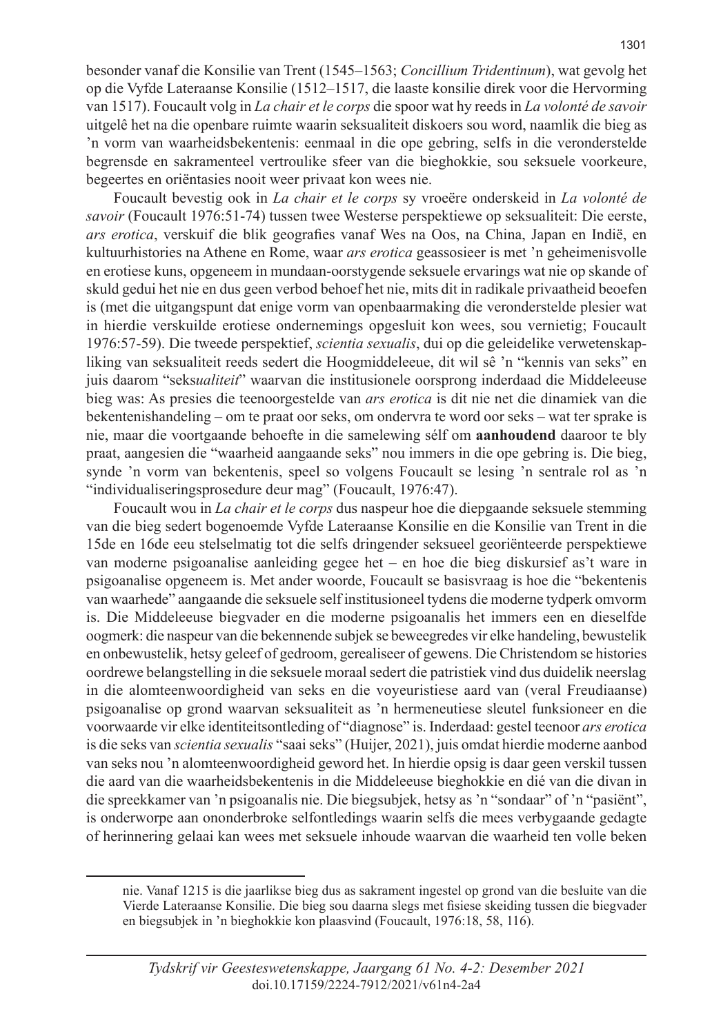besonder vanaf die Konsilie van Trent (1545–1563; *Concillium Tridentinum*), wat gevolg het op die Vyfde Lateraanse Konsilie (1512–1517, die laaste konsilie direk voor die Hervorming van 1517). Foucault volg in *La chair et le corps* die spoor wat hy reeds in *La volonté de savoir* uitgelê het na die openbare ruimte waarin seksualiteit diskoers sou word, naamlik die bieg as 'n vorm van waarheidsbekentenis: eenmaal in die ope gebring, selfs in die veronderstelde begrensde en sakramenteel vertroulike sfeer van die bieghokkie, sou seksuele voorkeure, begeertes en oriëntasies nooit weer privaat kon wees nie.

Foucault bevestig ook in *La chair et le corps* sy vroeëre onderskeid in *La volonté de savoir* (Foucault 1976:51-74) tussen twee Westerse perspektiewe op seksualiteit: Die eerste, *ars erotica*, verskuif die blik geografies vanaf Wes na Oos, na China, Japan en Indië, en kultuurhistories na Athene en Rome, waar *ars erotica* geassosieer is met 'n geheimenisvolle en erotiese kuns, opgeneem in mundaan-oorstygende seksuele ervarings wat nie op skande of skuld gedui het nie en dus geen verbod behoef het nie, mits dit in radikale privaatheid beoefen is (met die uitgangspunt dat enige vorm van openbaarmaking die veronderstelde plesier wat in hierdie verskuilde erotiese ondernemings opgesluit kon wees, sou vernietig; Foucault 1976:57-59). Die tweede perspektief, *scientia sexualis*, dui op die geleidelike verwetenskapliking van seksualiteit reeds sedert die Hoogmiddeleeue, dit wil sê 'n "kennis van seks" en juis daarom "seks*ualiteit*" waarvan die institusionele oorsprong inderdaad die Middeleeuse bieg was: As presies die teenoorgestelde van *ars erotica* is dit nie net die dinamiek van die bekentenishandeling – om te praat oor seks, om ondervra te word oor seks – wat ter sprake is nie, maar die voortgaande behoefte in die samelewing sélf om **aanhoudend** daaroor te bly praat, aangesien die "waarheid aangaande seks" nou immers in die ope gebring is. Die bieg, synde 'n vorm van bekentenis, speel so volgens Foucault se lesing 'n sentrale rol as 'n "individualiseringsprosedure deur mag" (Foucault, 1976:47).

Foucault wou in *La chair et le corps* dus naspeur hoe die diepgaande seksuele stemming van die bieg sedert bogenoemde Vyfde Lateraanse Konsilie en die Konsilie van Trent in die 15de en 16de eeu stelselmatig tot die selfs dringender seksueel georiënteerde perspektiewe van moderne psigoanalise aanleiding gegee het – en hoe die bieg diskursief as't ware in psigoanalise opgeneem is. Met ander woorde, Foucault se basisvraag is hoe die "bekentenis van waarhede" aangaande die seksuele self institusioneel tydens die moderne tydperk omvorm is. Die Middeleeuse biegvader en die moderne psigoanalis het immers een en dieselfde oogmerk: die naspeur van die bekennende subjek se beweegredes vir elke handeling, bewustelik en onbewustelik, hetsy geleef of gedroom, gerealiseer of gewens. Die Christendom se histories oordrewe belangstelling in die seksuele moraal sedert die patristiek vind dus duidelik neerslag in die alomteenwoordigheid van seks en die voyeuristiese aard van (veral Freudiaanse) psigoanalise op grond waarvan seksualiteit as 'n hermeneutiese sleutel funksioneer en die voorwaarde vir elke identiteitsontleding of "diagnose" is. Inderdaad: gestel teenoor *ars erotica* is die seks van *scientia sexualis* "saai seks" (Huijer, 2021), juis omdat hierdie moderne aanbod van seks nou 'n alomteenwoordigheid geword het. In hierdie opsig is daar geen verskil tussen die aard van die waarheidsbekentenis in die Middeleeuse bieghokkie en dié van die divan in die spreekkamer van 'n psigoanalis nie. Die biegsubjek, hetsy as 'n "sondaar" of 'n "pasiënt", is onderworpe aan ononderbroke selfontledings waarin selfs die mees verbygaande gedagte of herinnering gelaai kan wees met seksuele inhoude waarvan die waarheid ten volle beken

nie. Vanaf 1215 is die jaarlikse bieg dus as sakrament ingestel op grond van die besluite van die Vierde Lateraanse Konsilie. Die bieg sou daarna slegs met fisiese skeiding tussen die biegvader en biegsubjek in 'n bieghokkie kon plaasvind (Foucault, 1976:18, 58, 116).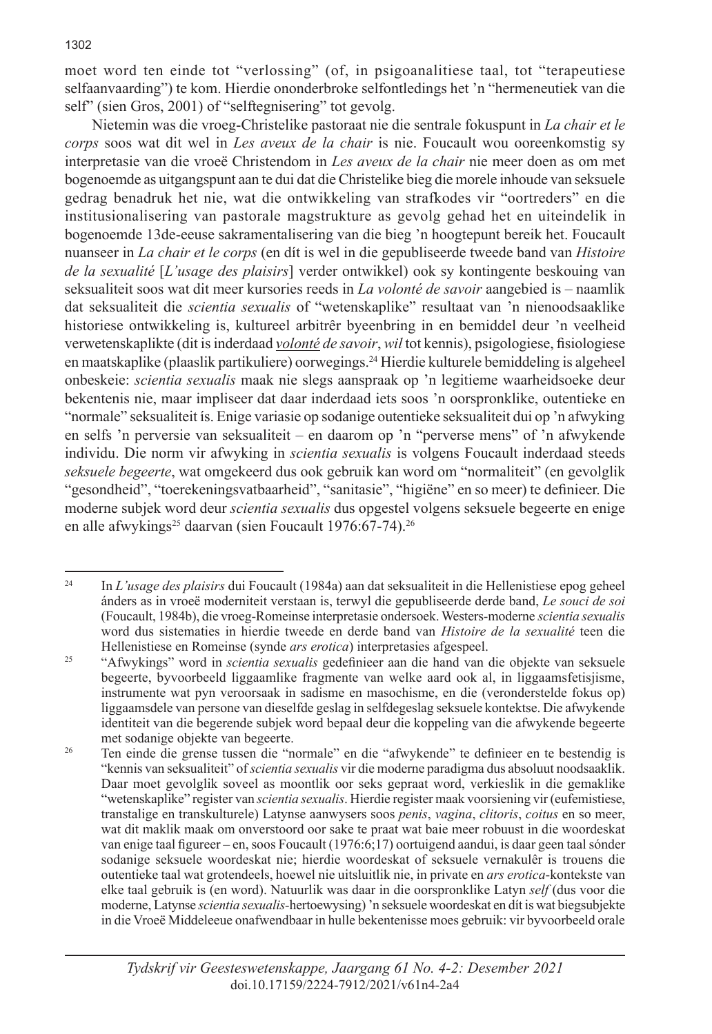moet word ten einde tot "verlossing" (of, in psigoanalitiese taal, tot "terapeutiese selfaanvaarding") te kom. Hierdie ononderbroke selfontledings het 'n "hermeneutiek van die self" (sien Gros, 2001) of "selftegnisering" tot gevolg.

Nietemin was die vroeg-Christelike pastoraat nie die sentrale fokuspunt in *La chair et le corps* soos wat dit wel in *Les aveux de la chair* is nie. Foucault wou ooreenkomstig sy interpretasie van die vroeë Christendom in *Les aveux de la chair* nie meer doen as om met bogenoemde as uitgangspunt aan te dui dat die Christelike bieg die morele inhoude van seksuele gedrag benadruk het nie, wat die ontwikkeling van strafkodes vir "oortreders" en die institusionalisering van pastorale magstrukture as gevolg gehad het en uiteindelik in bogenoemde 13de-eeuse sakramentalisering van die bieg 'n hoogtepunt bereik het. Foucault nuanseer in *La chair et le corps* (en dít is wel in die gepubliseerde tweede band van *Histoire de la sexualité* [*L'usage des plaisirs*] verder ontwikkel) ook sy kontingente beskouing van seksualiteit soos wat dit meer kursories reeds in *La volonté de savoir* aangebied is – naamlik dat seksualiteit die *scientia sexualis* of "wetenskaplike" resultaat van 'n nienoodsaaklike historiese ontwikkeling is, kultureel arbitrêr byeenbring in en bemiddel deur 'n veelheid verwetenskaplikte (dit is inderdaad *volonté de savoir*, *wil* tot kennis), psigologiese, fisiologiese en maatskaplike (plaaslik partikuliere) oorwegings.<sup>24</sup> Hierdie kulturele bemiddeling is algeheel onbeskeie: *scientia sexualis* maak nie slegs aanspraak op 'n legitieme waarheidsoeke deur bekentenis nie, maar impliseer dat daar inderdaad iets soos 'n oorspronklike, outentieke en "normale" seksualiteit ís. Enige variasie op sodanige outentieke seksualiteit dui op 'n afwyking en selfs 'n perversie van seksualiteit – en daarom op 'n "perverse mens" of 'n afwykende individu. Die norm vir afwyking in *scientia sexualis* is volgens Foucault inderdaad steeds *seksuele begeerte*, wat omgekeerd dus ook gebruik kan word om "normaliteit" (en gevolglik "gesondheid", "toerekeningsvatbaarheid", "sanitasie", "higiëne" en so meer) te definieer. Die moderne subjek word deur *scientia sexualis* dus opgestel volgens seksuele begeerte en enige en alle afwykings<sup>25</sup> daarvan (sien Foucault 1976:67-74).<sup>26</sup>

<sup>24</sup> In *L'usage des plaisirs* dui Foucault (1984a) aan dat seksualiteit in die Hellenistiese epog geheel ánders as in vroeë moderniteit verstaan is, terwyl die gepubliseerde derde band, *Le souci de soi* (Foucault, 1984b), die vroeg-Romeinse interpretasie ondersoek. Westers-moderne *scientia sexualis* word dus sistematies in hierdie tweede en derde band van *Histoire de la sexualité* teen die Hellenistiese en Romeinse (synde *ars erotica*) interpretasies afgespeel.

<sup>25</sup> "Afwykings" word in *scientia sexualis* gedefinieer aan die hand van die objekte van seksuele begeerte, byvoorbeeld liggaamlike fragmente van welke aard ook al, in liggaamsfetisjisme, instrumente wat pyn veroorsaak in sadisme en masochisme, en die (veronderstelde fokus op) liggaamsdele van persone van dieselfde geslag in selfdegeslag seksuele kontektse. Die afwykende identiteit van die begerende subjek word bepaal deur die koppeling van die afwykende begeerte met sodanige objekte van begeerte.

<sup>&</sup>lt;sup>26</sup> Ten einde die grense tussen die "normale" en die "afwykende" te definieer en te bestendig is "kennis van seksualiteit" of *scientia sexualis* vir die moderne paradigma dus absoluut noodsaaklik. Daar moet gevolglik soveel as moontlik oor seks gepraat word, verkieslik in die gemaklike "wetenskaplike" register van *scientia sexualis*. Hierdie register maak voorsiening vir (eufemistiese, transtalige en transkulturele) Latynse aanwysers soos *penis*, *vagina*, *clitoris*, *coitus* en so meer, wat dit maklik maak om onverstoord oor sake te praat wat baie meer robuust in die woordeskat van enige taal figureer – en, soos Foucault (1976:6;17) oortuigend aandui, is daar geen taal sónder sodanige seksuele woordeskat nie; hierdie woordeskat of seksuele vernakulêr is trouens die outentieke taal wat grotendeels, hoewel nie uitsluitlik nie, in private en *ars erotica*-kontekste van elke taal gebruik is (en word). Natuurlik was daar in die oorspronklike Latyn *self* (dus voor die moderne, Latynse *scientia sexualis-*hertoewysing) 'n seksuele woordeskat en dít is wat biegsubjekte in die Vroeë Middeleeue onafwendbaar in hulle bekentenisse moes gebruik: vir byvoorbeeld orale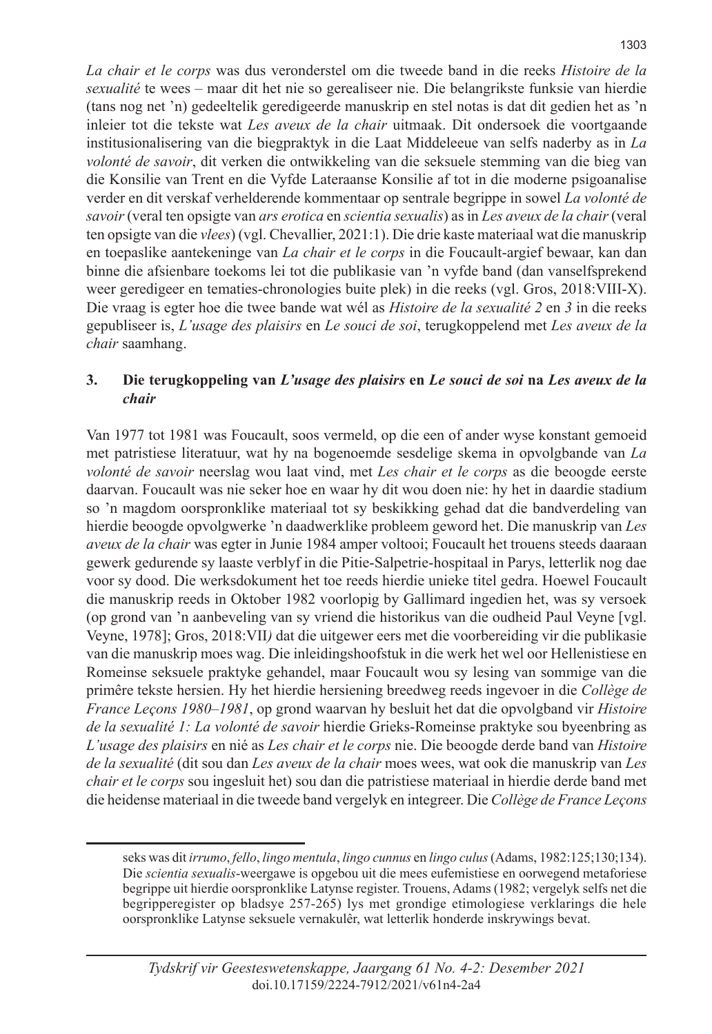*La chair et le corps* was dus veronderstel om die tweede band in die reeks *Histoire de la sexualité* te wees – maar dit het nie so gerealiseer nie. Die belangrikste funksie van hierdie (tans nog net 'n) gedeeltelik geredigeerde manuskrip en stel notas is dat dit gedien het as 'n inleier tot die tekste wat *Les aveux de la chair* uitmaak. Dit ondersoek die voortgaande institusionalisering van die biegpraktyk in die Laat Middeleeue van selfs naderby as in *La volonté de savoir*, dit verken die ontwikkeling van die seksuele stemming van die bieg van die Konsilie van Trent en die Vyfde Lateraanse Konsilie af tot in die moderne psigoanalise verder en dit verskaf verhelderende kommentaar op sentrale begrippe in sowel *La volonté de savoir* (veral ten opsigte van *ars erotica* en *scientia sexualis*) as in *Les aveux de la chair* (veral ten opsigte van die *vlees*) (vgl. Chevallier, 2021:1). Die drie kaste materiaal wat die manuskrip en toepaslike aantekeninge van *La chair et le corps* in die Foucault-argief bewaar, kan dan binne die afsienbare toekoms lei tot die publikasie van 'n vyfde band (dan vanselfsprekend weer geredigeer en tematies-chronologies buite plek) in die reeks (vgl. Gros, 2018:VIII-X). Die vraag is egter hoe die twee bande wat wél as *Histoire de la sexualité 2* en *3* in die reeks gepubliseer is, *L'usage des plaisirs* en *Le souci de soi*, terugkoppelend met *Les aveux de la chair* saamhang.

## **3. Die terugkoppeling van** *L'usage des plaisirs* **en** *Le souci de soi* **na** *Les aveux de la chair*

Van 1977 tot 1981 was Foucault, soos vermeld, op die een of ander wyse konstant gemoeid met patristiese literatuur, wat hy na bogenoemde sesdelige skema in opvolgbande van *La volonté de savoir* neerslag wou laat vind, met *Les chair et le corps* as die beoogde eerste daarvan. Foucault was nie seker hoe en waar hy dit wou doen nie: hy het in daardie stadium so 'n magdom oorspronklike materiaal tot sy beskikking gehad dat die bandverdeling van hierdie beoogde opvolgwerke 'n daadwerklike probleem geword het. Die manuskrip van *Les aveux de la chair* was egter in Junie 1984 amper voltooi; Foucault het trouens steeds daaraan gewerk gedurende sy laaste verblyf in die Pitie-Salpetrie-hospitaal in Parys, letterlik nog dae voor sy dood. Die werksdokument het toe reeds hierdie unieke titel gedra. Hoewel Foucault die manuskrip reeds in Oktober 1982 voorlopig by Gallimard ingedien het, was sy versoek (op grond van 'n aanbeveling van sy vriend die historikus van die oudheid Paul Veyne [vgl. Veyne, 1978]; Gros, 2018:VII*)* dat die uitgewer eers met die voorbereiding vir die publikasie van die manuskrip moes wag. Die inleidingshoofstuk in die werk het wel oor Hellenistiese en Romeinse seksuele praktyke gehandel, maar Foucault wou sy lesing van sommige van die primêre tekste hersien. Hy het hierdie hersiening breedweg reeds ingevoer in die *Collège de France Leçons 1980–1981*, op grond waarvan hy besluit het dat die opvolgband vir *Histoire de la sexualité 1: La volonté de savoir* hierdie Grieks-Romeinse praktyke sou byeenbring as *L'usage des plaisirs* en nié as *Les chair et le corps* nie. Die beoogde derde band van *Histoire de la sexualité* (dit sou dan *Les aveux de la chair* moes wees, wat ook die manuskrip van *Les chair et le corps* sou ingesluit het) sou dan die patristiese materiaal in hierdie derde band met die heidense materiaal in die tweede band vergelyk en integreer. Die *Collège de France Leçons* 

seks was dit *irrumo*, *fello*, *lingo mentula*, *lingo cunnus* en *lingo culus* (Adams, 1982:125;130;134). Die *scientia sexualis*-weergawe is opgebou uit die mees eufemistiese en oorwegend metaforiese begrippe uit hierdie oorspronklike Latynse register. Trouens, Adams (1982; vergelyk selfs net die begripperegister op bladsye 257-265) lys met grondige etimologiese verklarings die hele oorspronklike Latynse seksuele vernakulêr, wat letterlik honderde inskrywings bevat.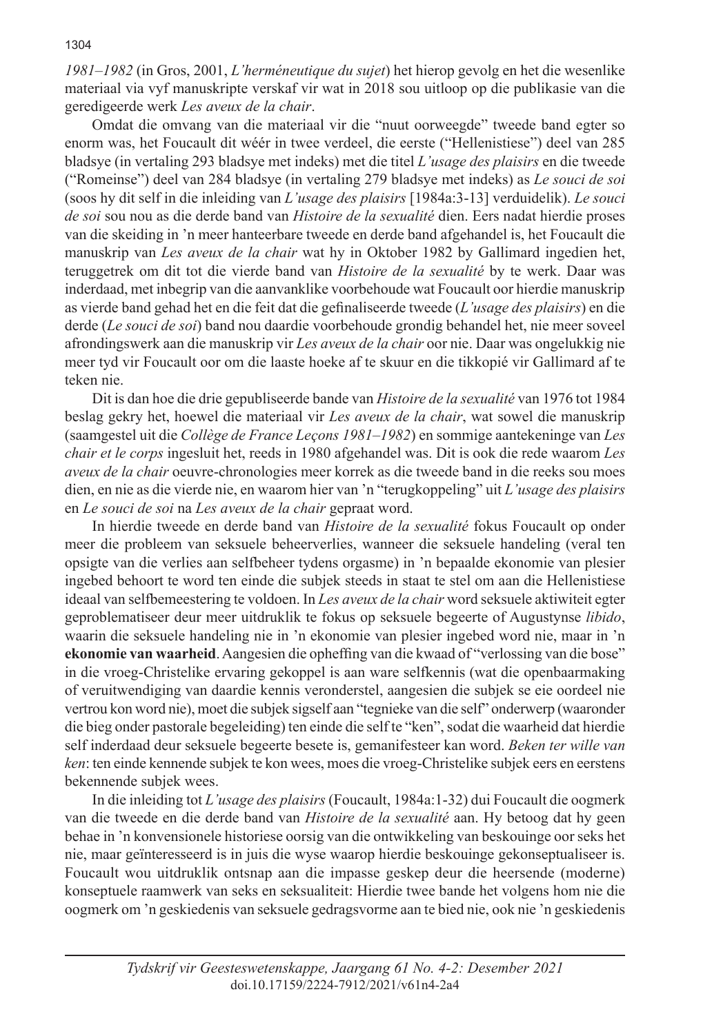*1981–1982* (in Gros, 2001, *L'herméneutique du sujet*) het hierop gevolg en het die wesenlike materiaal via vyf manuskripte verskaf vir wat in 2018 sou uitloop op die publikasie van die geredigeerde werk *Les aveux de la chair*.

Omdat die omvang van die materiaal vir die "nuut oorweegde" tweede band egter so enorm was, het Foucault dit wéér in twee verdeel, die eerste ("Hellenistiese") deel van 285 bladsye (in vertaling 293 bladsye met indeks) met die titel *L'usage des plaisirs* en die tweede ("Romeinse") deel van 284 bladsye (in vertaling 279 bladsye met indeks) as *Le souci de soi* (soos hy dit self in die inleiding van *L'usage des plaisirs* [1984a:3-13] verduidelik). *Le souci de soi* sou nou as die derde band van *Histoire de la sexualité* dien. Eers nadat hierdie proses van die skeiding in 'n meer hanteerbare tweede en derde band afgehandel is, het Foucault die manuskrip van *Les aveux de la chair* wat hy in Oktober 1982 by Gallimard ingedien het, teruggetrek om dit tot die vierde band van *Histoire de la sexualité* by te werk. Daar was inderdaad, met inbegrip van die aanvanklike voorbehoude wat Foucault oor hierdie manuskrip as vierde band gehad het en die feit dat die gefinaliseerde tweede (*L'usage des plaisirs*) en die derde (*Le souci de soi*) band nou daardie voorbehoude grondig behandel het, nie meer soveel afrondingswerk aan die manuskrip vir *Les aveux de la chair* oor nie. Daar was ongelukkig nie meer tyd vir Foucault oor om die laaste hoeke af te skuur en die tikkopié vir Gallimard af te teken nie.

Dit is dan hoe die drie gepubliseerde bande van *Histoire de la sexualité* van 1976 tot 1984 beslag gekry het, hoewel die materiaal vir *Les aveux de la chair*, wat sowel die manuskrip (saamgestel uit die *Collège de France Leçons 1981–1982*) en sommige aantekeninge van *Les chair et le corps* ingesluit het, reeds in 1980 afgehandel was. Dit is ook die rede waarom *Les aveux de la chair* oeuvre-chronologies meer korrek as die tweede band in die reeks sou moes dien, en nie as die vierde nie, en waarom hier van 'n "terugkoppeling" uit *L'usage des plaisirs* en *Le souci de soi* na *Les aveux de la chair* gepraat word.

In hierdie tweede en derde band van *Histoire de la sexualité* fokus Foucault op onder meer die probleem van seksuele beheerverlies, wanneer die seksuele handeling (veral ten opsigte van die verlies aan selfbeheer tydens orgasme) in 'n bepaalde ekonomie van plesier ingebed behoort te word ten einde die subjek steeds in staat te stel om aan die Hellenistiese ideaal van selfbemeestering te voldoen. In *Les aveux de la chair* word seksuele aktiwiteit egter geproblematiseer deur meer uitdruklik te fokus op seksuele begeerte of Augustynse *libido*, waarin die seksuele handeling nie in 'n ekonomie van plesier ingebed word nie, maar in 'n **ekonomie van waarheid**. Aangesien die opheffing van die kwaad of "verlossing van die bose" in die vroeg-Christelike ervaring gekoppel is aan ware selfkennis (wat die openbaarmaking of veruitwendiging van daardie kennis veronderstel, aangesien die subjek se eie oordeel nie vertrou kon word nie), moet die subjek sigself aan "tegnieke van die self" onderwerp (waaronder die bieg onder pastorale begeleiding) ten einde die self te "ken", sodat die waarheid dat hierdie self inderdaad deur seksuele begeerte besete is, gemanifesteer kan word. *Beken ter wille van ken*: ten einde kennende subjek te kon wees, moes die vroeg-Christelike subjek eers en eerstens bekennende subjek wees.

In die inleiding tot *L'usage des plaisirs* (Foucault, 1984a:1-32) dui Foucault die oogmerk van die tweede en die derde band van *Histoire de la sexualité* aan. Hy betoog dat hy geen behae in 'n konvensionele historiese oorsig van die ontwikkeling van beskouinge oor seks het nie, maar geïnteresseerd is in juis die wyse waarop hierdie beskouinge gekonseptualiseer is. Foucault wou uitdruklik ontsnap aan die impasse geskep deur die heersende (moderne) konseptuele raamwerk van seks en seksualiteit: Hierdie twee bande het volgens hom nie die oogmerk om 'n geskiedenis van seksuele gedragsvorme aan te bied nie, ook nie 'n geskiedenis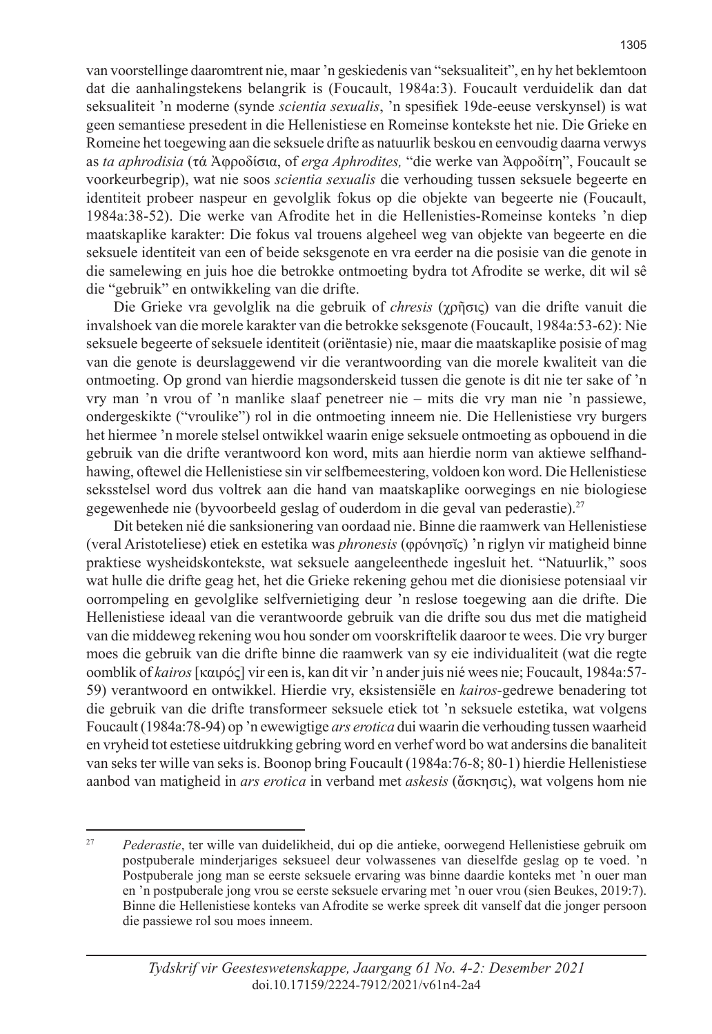van voorstellinge daaromtrent nie, maar 'n geskiedenis van "seksualiteit", en hy het beklemtoon dat die aanhalingstekens belangrik is (Foucault, 1984a:3). Foucault verduidelik dan dat seksualiteit 'n moderne (synde *scientia sexualis*, 'n spesifiek 19de-eeuse verskynsel) is wat geen semantiese presedent in die Hellenistiese en Romeinse kontekste het nie. Die Grieke en Romeine het toegewing aan die seksuele drifte as natuurlik beskou en eenvoudig daarna verwys as *ta aphrodisia* (τά Ἀφροδίσια, of *erga Aphrodites,* "die werke van Ἀφροδίτη", Foucault se voorkeurbegrip), wat nie soos *scientia sexualis* die verhouding tussen seksuele begeerte en identiteit probeer naspeur en gevolglik fokus op die objekte van begeerte nie (Foucault, 1984a:38-52). Die werke van Afrodite het in die Hellenisties-Romeinse konteks 'n diep maatskaplike karakter: Die fokus val trouens algeheel weg van objekte van begeerte en die seksuele identiteit van een of beide seksgenote en vra eerder na die posisie van die genote in die samelewing en juis hoe die betrokke ontmoeting bydra tot Afrodite se werke, dit wil sê die "gebruik" en ontwikkeling van die drifte.

Die Grieke vra gevolglik na die gebruik of *chresis* (χρῆσις) van die drifte vanuit die invalshoek van die morele karakter van die betrokke seksgenote (Foucault, 1984a:53-62): Nie seksuele begeerte of seksuele identiteit (oriëntasie) nie, maar die maatskaplike posisie of mag van die genote is deurslaggewend vir die verantwoording van die morele kwaliteit van die ontmoeting. Op grond van hierdie magsonderskeid tussen die genote is dit nie ter sake of 'n vry man 'n vrou of 'n manlike slaaf penetreer nie – mits die vry man nie 'n passiewe, ondergeskikte ("vroulike") rol in die ontmoeting inneem nie. Die Hellenistiese vry burgers het hiermee 'n morele stelsel ontwikkel waarin enige seksuele ontmoeting as opbouend in die gebruik van die drifte verantwoord kon word, mits aan hierdie norm van aktiewe selfhandhawing, oftewel die Hellenistiese sin vir selfbemeestering, voldoen kon word. Die Hellenistiese seksstelsel word dus voltrek aan die hand van maatskaplike oorwegings en nie biologiese gegewenhede nie (byvoorbeeld geslag of ouderdom in die geval van pederastie).<sup>27</sup>

Dit beteken nié die sanksionering van oordaad nie. Binne die raamwerk van Hellenistiese (veral Aristoteliese) etiek en estetika was *phronesis* (φρόνησῐς) 'n riglyn vir matigheid binne praktiese wysheidskontekste, wat seksuele aangeleenthede ingesluit het. "Natuurlik," soos wat hulle die drifte geag het, het die Grieke rekening gehou met die dionisiese potensiaal vir oorrompeling en gevolglike selfvernietiging deur 'n reslose toegewing aan die drifte. Die Hellenistiese ideaal van die verantwoorde gebruik van die drifte sou dus met die matigheid van die middeweg rekening wou hou sonder om voorskriftelik daaroor te wees. Die vry burger moes die gebruik van die drifte binne die raamwerk van sy eie individualiteit (wat die regte oomblik of *kairos* [καιρός] vir een is, kan dit vir 'n ander juis nié wees nie; Foucault, 1984a:57- 59) verantwoord en ontwikkel. Hierdie vry, eksistensiële en *kairos-*gedrewe benadering tot die gebruik van die drifte transformeer seksuele etiek tot 'n seksuele estetika, wat volgens Foucault (1984a:78-94) op 'n ewewigtige *ars erotica* dui waarin die verhouding tussen waarheid en vryheid tot estetiese uitdrukking gebring word en verhef word bo wat andersins die banaliteit van seks ter wille van seks is. Boonop bring Foucault (1984a:76-8; 80-1) hierdie Hellenistiese aanbod van matigheid in *ars erotica* in verband met *askesis* (ἄσκησις), wat volgens hom nie

<sup>27</sup> *Pederastie*, ter wille van duidelikheid, dui op die antieke, oorwegend Hellenistiese gebruik om postpuberale minderjariges seksueel deur volwassenes van dieselfde geslag op te voed. 'n Postpuberale jong man se eerste seksuele ervaring was binne daardie konteks met 'n ouer man en 'n postpuberale jong vrou se eerste seksuele ervaring met 'n ouer vrou (sien Beukes, 2019:7). Binne die Hellenistiese konteks van Afrodite se werke spreek dit vanself dat die jonger persoon die passiewe rol sou moes inneem.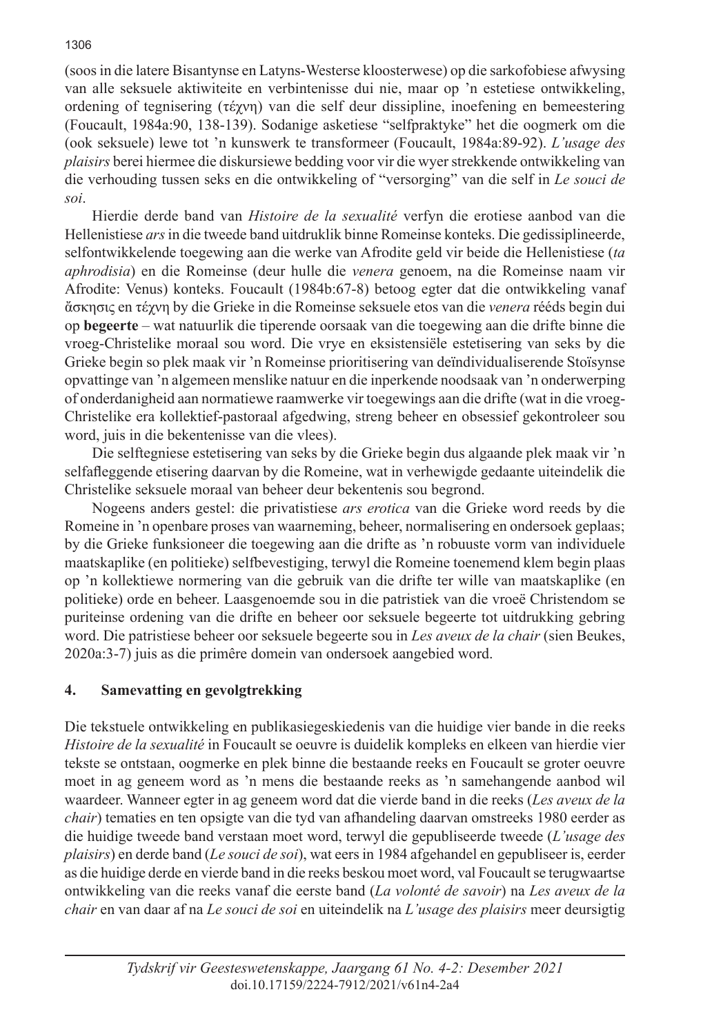(soos in die latere Bisantynse en Latyns-Westerse kloosterwese) op die sarkofobiese afwysing van alle seksuele aktiwiteite en verbintenisse dui nie, maar op 'n estetiese ontwikkeling, ordening of tegnisering (τέχνη) van die self deur dissipline, inoefening en bemeestering (Foucault, 1984a:90, 138-139). Sodanige asketiese "selfpraktyke" het die oogmerk om die (ook seksuele) lewe tot 'n kunswerk te transformeer (Foucault, 1984a:89-92). *L'usage des plaisirs* berei hiermee die diskursiewe bedding voor vir die wyer strekkende ontwikkeling van die verhouding tussen seks en die ontwikkeling of "versorging" van die self in *Le souci de soi*.

Hierdie derde band van *Histoire de la sexualité* verfyn die erotiese aanbod van die Hellenistiese *ars* in die tweede band uitdruklik binne Romeinse konteks. Die gedissiplineerde, selfontwikkelende toegewing aan die werke van Afrodite geld vir beide die Hellenistiese (*ta aphrodisia*) en die Romeinse (deur hulle die *venera* genoem, na die Romeinse naam vir Afrodite: Venus) konteks. Foucault (1984b:67-8) betoog egter dat die ontwikkeling vanaf ἄσκησις en τέχνη by die Grieke in die Romeinse seksuele etos van die *venera* rééds begin dui op **begeerte** – wat natuurlik die tiperende oorsaak van die toegewing aan die drifte binne die vroeg-Christelike moraal sou word. Die vrye en eksistensiële estetisering van seks by die Grieke begin so plek maak vir 'n Romeinse prioritisering van deïndividualiserende Stoïsynse opvattinge van 'n algemeen menslike natuur en die inperkende noodsaak van 'n onderwerping of onderdanigheid aan normatiewe raamwerke vir toegewings aan die drifte (wat in die vroeg-Christelike era kollektief-pastoraal afgedwing, streng beheer en obsessief gekontroleer sou word, juis in die bekentenisse van die vlees).

Die selftegniese estetisering van seks by die Grieke begin dus algaande plek maak vir 'n selfafleggende etisering daarvan by die Romeine, wat in verhewigde gedaante uiteindelik die Christelike seksuele moraal van beheer deur bekentenis sou begrond.

Nogeens anders gestel: die privatistiese *ars erotica* van die Grieke word reeds by die Romeine in 'n openbare proses van waarneming, beheer, normalisering en ondersoek geplaas; by die Grieke funksioneer die toegewing aan die drifte as 'n robuuste vorm van individuele maatskaplike (en politieke) selfbevestiging, terwyl die Romeine toenemend klem begin plaas op 'n kollektiewe normering van die gebruik van die drifte ter wille van maatskaplike (en politieke) orde en beheer. Laasgenoemde sou in die patristiek van die vroeë Christendom se puriteinse ordening van die drifte en beheer oor seksuele begeerte tot uitdrukking gebring word. Die patristiese beheer oor seksuele begeerte sou in *Les aveux de la chair* (sien Beukes, 2020a:3-7) juis as die primêre domein van ondersoek aangebied word.

## **4. Samevatting en gevolgtrekking**

Die tekstuele ontwikkeling en publikasiegeskiedenis van die huidige vier bande in die reeks *Histoire de la sexualité* in Foucault se oeuvre is duidelik kompleks en elkeen van hierdie vier tekste se ontstaan, oogmerke en plek binne die bestaande reeks en Foucault se groter oeuvre moet in ag geneem word as 'n mens die bestaande reeks as 'n samehangende aanbod wil waardeer. Wanneer egter in ag geneem word dat die vierde band in die reeks (*Les aveux de la chair*) tematies en ten opsigte van die tyd van afhandeling daarvan omstreeks 1980 eerder as die huidige tweede band verstaan moet word, terwyl die gepubliseerde tweede (*L'usage des plaisirs*) en derde band (*Le souci de soi*), wat eers in 1984 afgehandel en gepubliseer is, eerder as die huidige derde en vierde band in die reeks beskou moet word, val Foucault se terugwaartse ontwikkeling van die reeks vanaf die eerste band (*La volonté de savoir*) na *Les aveux de la chair* en van daar af na *Le souci de soi* en uiteindelik na *L'usage des plaisirs* meer deursigtig

#### 1306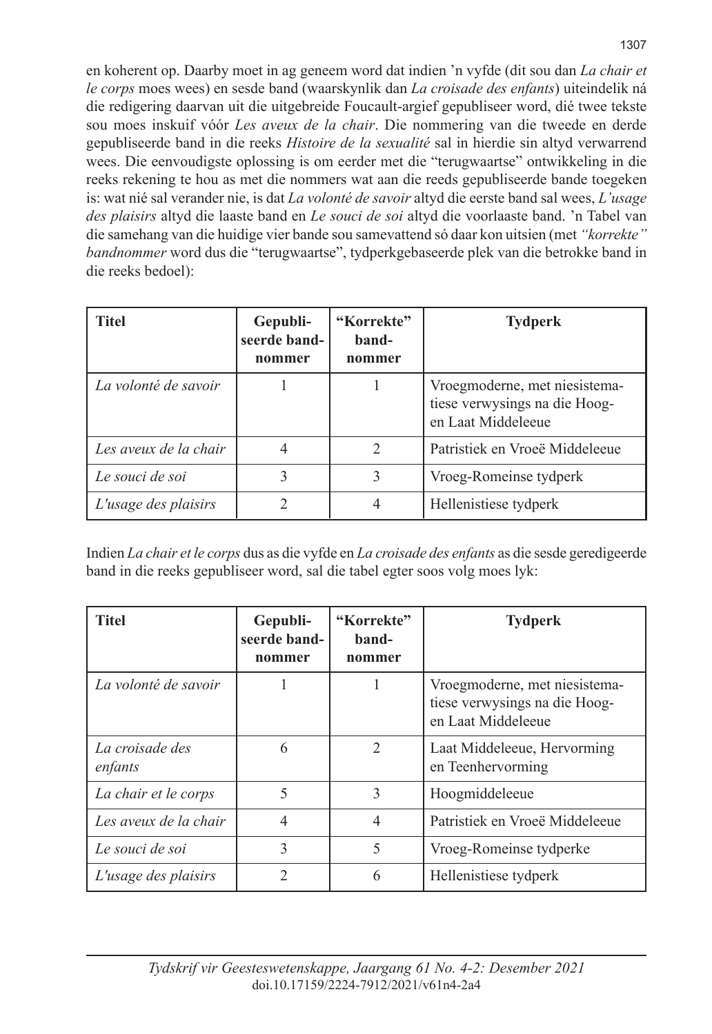en koherent op. Daarby moet in ag geneem word dat indien 'n vyfde (dit sou dan *La chair et le corps* moes wees) en sesde band (waarskynlik dan *La croisade des enfants*) uiteindelik ná die redigering daarvan uit die uitgebreide Foucault-argief gepubliseer word, dié twee tekste sou moes inskuif vóór *Les aveux de la chair*. Die nommering van die tweede en derde gepubliseerde band in die reeks *Histoire de la sexualité* sal in hierdie sin altyd verwarrend wees. Die eenvoudigste oplossing is om eerder met die "terugwaartse" ontwikkeling in die reeks rekening te hou as met die nommers wat aan die reeds gepubliseerde bande toegeken is: wat nié sal verander nie, is dat *La volonté de savoir* altyd die eerste band sal wees, *L'usage des plaisirs* altyd die laaste band en *Le souci de soi* altyd die voorlaaste band. 'n Tabel van die samehang van die huidige vier bande sou samevattend só daar kon uitsien (met *"korrekte" bandnommer* word dus die "terugwaartse", tydperkgebaseerde plek van die betrokke band in die reeks bedoel):

| <b>Titel</b>          | Gepubli-<br>seerde band-<br>nommer | "Korrekte"<br>band-<br>nommer | <b>Tydperk</b>                                                                       |
|-----------------------|------------------------------------|-------------------------------|--------------------------------------------------------------------------------------|
| La volonté de savoir  |                                    |                               | Vroegmoderne, met niesistema-<br>tiese verwysings na die Hoog-<br>en Laat Middeleeue |
| Les aveux de la chair | 4                                  | $\mathfrak{D}$                | Patristiek en Vroeë Middeleeue                                                       |
| Le souci de soi       | 3                                  | 3                             | Vroeg-Romeinse tydperk                                                               |
| L'usage des plaisirs  | 2                                  | 4                             | Hellenistiese tydperk                                                                |

Indien *La chair et le corps* dus as die vyfde en *La croisade des enfants* as die sesde geredigeerde band in die reeks gepubliseer word, sal die tabel egter soos volg moes lyk:

| <b>Titel</b>               | Gepubli-<br>seerde band-<br>nommer | "Korrekte"<br>band-<br>nommer | <b>Tydperk</b>                                                                       |
|----------------------------|------------------------------------|-------------------------------|--------------------------------------------------------------------------------------|
| La volonté de savoir       |                                    |                               | Vroegmoderne, met niesistema-<br>tiese verwysings na die Hoog-<br>en Laat Middeleeue |
| La croisade des<br>enfants | 6                                  | $\mathfrak{D}$                | Laat Middeleeue, Hervorming<br>en Teenhervorming                                     |
| La chair et le corps       | 5                                  | 3                             | Hoogmiddeleeue                                                                       |
| Les aveux de la chair      | $\overline{4}$                     | $\overline{4}$                | Patristiek en Vroeë Middeleeue                                                       |
| Le souci de soi            | 3                                  | 5                             | Vroeg-Romeinse tydperke                                                              |
| L'usage des plaisirs       | $\mathfrak{D}$                     | 6                             | Hellenistiese tydperk                                                                |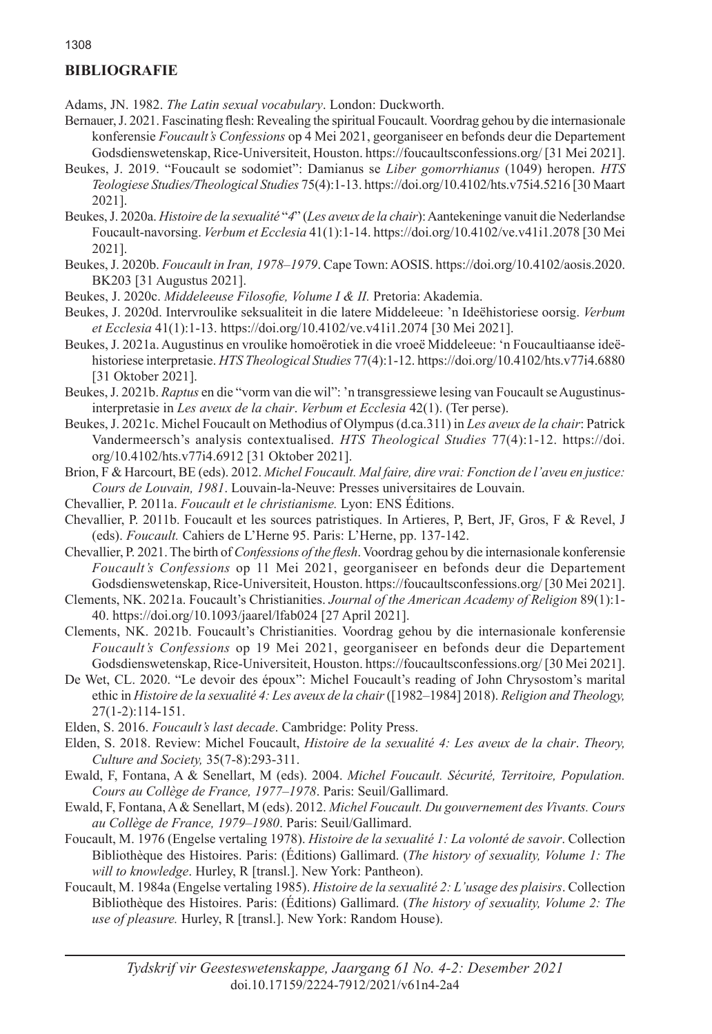## **BIBLIOGRAFIE**

Adams, JN. 1982. *The Latin sexual vocabulary*. London: Duckworth.

- Bernauer, J. 2021. Fascinating flesh: Revealing the spiritual Foucault. Voordrag gehou by die internasionale konferensie *Foucault's Confessions* op 4 Mei 2021, georganiseer en befonds deur die Departement Godsdienswetenskap, Rice-Universiteit, Houston. https://foucaultsconfessions.org/ [31 Mei 2021].
- Beukes, J. 2019. "Foucault se sodomiet": Damianus se *Liber gomorrhianus* (1049) heropen. *HTS Teologiese Studies/Theological Studies* 75(4):1-13. https://doi.org/10.4102/hts.v75i4.5216 [30 Maart 2021].
- Beukes, J. 2020a. *Histoire de la sexualité* "*4*" (*Les aveux de la chair*): Aantekeninge vanuit die Nederlandse Foucault-navorsing. *Verbum et Ecclesia* 41(1):1-14. https://doi.org/10.4102/ve.v41i1.2078 [30 Mei 2021].
- Beukes, J. 2020b. *Foucault in Iran, 1978–1979*. Cape Town: AOSIS. https://doi.org/10.4102/aosis.2020. BK203 [31 Augustus 2021].
- Beukes, J. 2020c. *Middeleeuse Filosofie, Volume I & II.* Pretoria: Akademia.
- Beukes, J. 2020d. Intervroulike seksualiteit in die latere Middeleeue: 'n Ideëhistoriese oorsig. *Verbum et Ecclesia* 41(1):1-13. https://doi.org/10.4102/ve.v41i1.2074 [30 Mei 2021].
- Beukes, J. 2021a. Augustinus en vroulike homoërotiek in die vroeë Middeleeue: 'n Foucaultiaanse ideëhistoriese interpretasie. *HTS Theological Studies* 77(4):1-12. https://doi.org/10.4102/hts.v77i4.6880 [31 Oktober 2021].
- Beukes, J. 2021b. *Raptus* en die "vorm van die wil": 'n transgressiewe lesing van Foucault se Augustinusinterpretasie in *Les aveux de la chair*. *Verbum et Ecclesia* 42(1). (Ter perse).
- Beukes, J. 2021c. Michel Foucault on Methodius of Olympus (d.ca.311) in *Les aveux de la chair*: Patrick Vandermeersch's analysis contextualised. *HTS Theological Studies* 77(4):1-12. https://doi. org/10.4102/hts.v77i4.6912 [31 Oktober 2021].
- Brion, F & Harcourt, BE (eds). 2012. *Michel Foucault. Mal faire, dire vrai: Fonction de l'aveu en justice: Cours de Louvain, 1981*. Louvain-la-Neuve: Presses universitaires de Louvain.
- Chevallier, P. 2011a. *Foucault et le christianisme.* Lyon: ENS Éditions.
- Chevallier, P. 2011b. Foucault et les sources patristiques. In Artieres, P, Bert, JF, Gros, F & Revel, J (eds). *Foucault.* Cahiers de L'Herne 95. Paris: L'Herne, pp. 137-142.
- Chevallier, P. 2021. The birth of *Confessions of the flesh*. Voordrag gehou by die internasionale konferensie *Foucault's Confessions* op 11 Mei 2021, georganiseer en befonds deur die Departement Godsdienswetenskap, Rice-Universiteit, Houston. https://foucaultsconfessions.org/ [30 Mei 2021].
- Clements, NK. 2021a. Foucault's Christianities. *Journal of the American Academy of Religion* 89(1):1- 40. https://doi.org/10.1093/jaarel/lfab024 [27 April 2021].
- Clements, NK. 2021b. Foucault's Christianities. Voordrag gehou by die internasionale konferensie *Foucault's Confessions* op 19 Mei 2021, georganiseer en befonds deur die Departement Godsdienswetenskap, Rice-Universiteit, Houston. https://foucaultsconfessions.org/ [30 Mei 2021].
- De Wet, CL. 2020. "Le devoir des époux": Michel Foucault's reading of John Chrysostom's marital ethic in *Histoire de la sexualité 4: Les aveux de la chair* ([1982–1984] 2018). *Religion and Theology,* 27(1-2):114-151.
- Elden, S. 2016. *Foucault's last decade*. Cambridge: Polity Press.
- Elden, S. 2018. Review: Michel Foucault, *Histoire de la sexualité 4: Les aveux de la chair*. *Theory, Culture and Society,* 35(7-8):293-311.
- Ewald, F, Fontana, A & Senellart, M (eds). 2004. *Michel Foucault. Sécurité, Territoire, Population. Cours au Collège de France, 1977–1978*. Paris: Seuil/Gallimard.
- Ewald, F, Fontana, A & Senellart, M (eds). 2012. *Michel Foucault. Du gouvernement des Vivants. Cours au Collège de France, 1979–1980*. Paris: Seuil/Gallimard.
- Foucault, M. 1976 (Engelse vertaling 1978). *Histoire de la sexualité 1: La volonté de savoir*. Collection Bibliothèque des Histoires. Paris: (Éditions) Gallimard. (*The history of sexuality, Volume 1: The will to knowledge*. Hurley, R [transl.]. New York: Pantheon).
- Foucault, M. 1984a (Engelse vertaling 1985). *Histoire de la sexualité 2: L'usage des plaisirs*. Collection Bibliothèque des Histoires. Paris: (Éditions) Gallimard. (*The history of sexuality, Volume 2: The use of pleasure.* Hurley, R [transl.]. New York: Random House).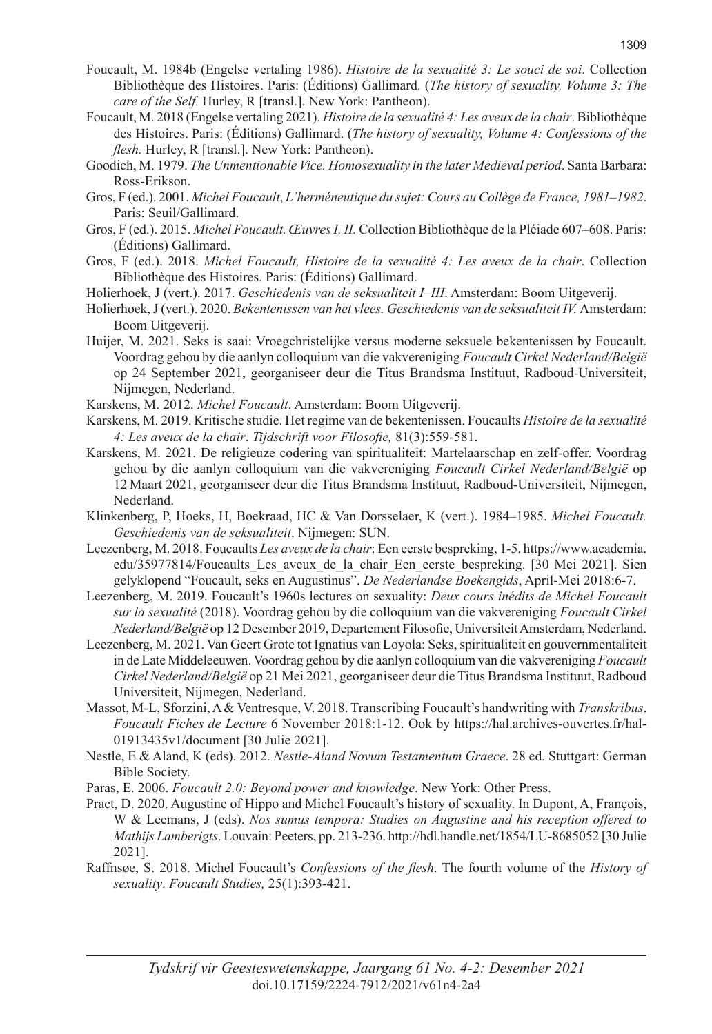- Foucault, M. 1984b (Engelse vertaling 1986). *Histoire de la sexualité 3: Le souci de soi*. Collection Bibliothèque des Histoires. Paris: (Éditions) Gallimard. (*The history of sexuality, Volume 3: The care of the Self.* Hurley, R [transl.]. New York: Pantheon).
- Foucault, M. 2018 (Engelse vertaling 2021). *Histoire de la sexualité 4: Les aveux de la chair*. Bibliothèque des Histoires. Paris: (Éditions) Gallimard. (*The history of sexuality, Volume 4: Confessions of the flesh.* Hurley, R [transl.]. New York: Pantheon).
- Goodich, M. 1979. *The Unmentionable Vice. Homosexuality in the later Medieval period*. Santa Barbara: Ross-Erikson.
- Gros, F (ed.). 2001. *Michel Foucault*, *L'herméneutique du sujet: Cours au Collège de France, 1981–1982*. Paris: Seuil/Gallimard.
- Gros, F (ed.). 2015. *Michel Foucault. Œuvres I, II.* Collection Bibliothèque de la Pléiade 607–608. Paris: (Éditions) Gallimard.
- Gros, F (ed.). 2018. *Michel Foucault, Histoire de la sexualité 4: Les aveux de la chair*. Collection Bibliothèque des Histoires. Paris: (Éditions) Gallimard.
- Holierhoek, J (vert.). 2017. *Geschiedenis van de seksualiteit I–III*. Amsterdam: Boom Uitgeverij.
- Holierhoek, J (vert.). 2020. *Bekentenissen van het vlees. Geschiedenis van de seksualiteit IV.* Amsterdam: Boom Uitgeverij.
- Huijer, M. 2021. Seks is saai: Vroegchristelijke versus moderne seksuele bekentenissen by Foucault. Voordrag gehou by die aanlyn colloquium van die vakvereniging *Foucault Cirkel Nederland/België* op 24 September 2021, georganiseer deur die Titus Brandsma Instituut, Radboud-Universiteit, Nijmegen, Nederland.
- Karskens, M. 2012. *Michel Foucault*. Amsterdam: Boom Uitgeverij.
- Karskens, M. 2019. Kritische studie. Het regime van de bekentenissen. Foucaults *Histoire de la sexualité 4: Les aveux de la chair*. *Tijdschrift voor Filosofie,* 81(3):559-581.
- Karskens, M. 2021. De religieuze codering van spiritualiteit: Martelaarschap en zelf-offer. Voordrag gehou by die aanlyn colloquium van die vakvereniging *Foucault Cirkel Nederland/België* op 12 Maart 2021, georganiseer deur die Titus Brandsma Instituut, Radboud-Universiteit, Nijmegen, Nederland.
- Klinkenberg, P, Hoeks, H, Boekraad, HC & Van Dorsselaer, K (vert.). 1984–1985. *Michel Foucault. Geschiedenis van de seksualiteit*. Nijmegen: SUN.
- Leezenberg, M. 2018. Foucaults *Les aveux de la chair*: Een eerste bespreking, 1-5. https://www.academia. edu/35977814/Foucaults Les aveux de la chair Een eerste bespreking. [30 Mei 2021]. Sien gelyklopend "Foucault, seks en Augustinus". *De Nederlandse Boekengids*, April-Mei 2018:6-7.
- Leezenberg, M. 2019. Foucault's 1960s lectures on sexuality: *Deux cours inédits de Michel Foucault sur la sexualité* (2018). Voordrag gehou by die colloquium van die vakvereniging *Foucault Cirkel Nederland/België* op 12 Desember 2019, Departement Filosofie, Universiteit Amsterdam, Nederland.
- Leezenberg, M. 2021. Van Geert Grote tot Ignatius van Loyola: Seks, spiritualiteit en gouvernmentaliteit in de Late Middeleeuwen. Voordrag gehou by die aanlyn colloquium van die vakvereniging *Foucault Cirkel Nederland/België* op 21 Mei 2021, georganiseer deur die Titus Brandsma Instituut, Radboud Universiteit, Nijmegen, Nederland.
- Massot, M-L, Sforzini, A & Ventresque, V. 2018. Transcribing Foucault's handwriting with *Transkribus*. *Foucault Fiches de Lecture* 6 November 2018:1-12. Ook by https://hal.archives-ouvertes.fr/hal-01913435v1/document [30 Julie 2021].
- Nestle, E & Aland, K (eds). 2012. *Nestle-Aland Novum Testamentum Graece*. 28 ed. Stuttgart: German Bible Society.
- Paras, E. 2006. *Foucault 2.0: Beyond power and knowledge*. New York: Other Press.
- Praet, D. 2020. Augustine of Hippo and Michel Foucault's history of sexuality. In Dupont, A, François, W & Leemans, J (eds). *Nos sumus tempora: Studies on Augustine and his reception offered to Mathijs Lamberigts*. Louvain: Peeters, pp. 213-236. http://hdl.handle.net/1854/LU-8685052 [30 Julie 2021].
- Raffnsøe, S. 2018. Michel Foucault's *Confessions of the flesh*. The fourth volume of the *History of sexuality*. *Foucault Studies,* 25(1):393-421.